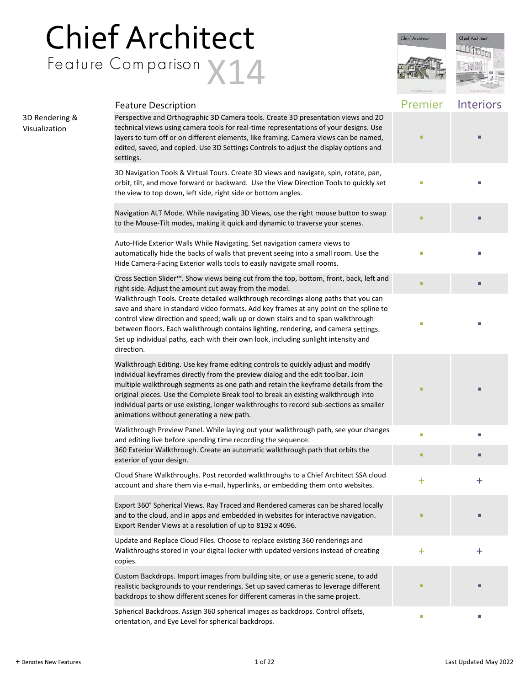## Chief Architect Feature Comparison X14



|                                 | <b>Feature Description</b>                                                                                                                                                                                                                                                                                                                                                                                                                                                               | Premier   | Interiors    |
|---------------------------------|------------------------------------------------------------------------------------------------------------------------------------------------------------------------------------------------------------------------------------------------------------------------------------------------------------------------------------------------------------------------------------------------------------------------------------------------------------------------------------------|-----------|--------------|
| 3D Rendering &<br>Visualization | Perspective and Orthographic 3D Camera tools. Create 3D presentation views and 2D<br>technical views using camera tools for real-time representations of your designs. Use<br>layers to turn off or on different elements, like framing. Camera views can be named,<br>edited, saved, and copied. Use 3D Settings Controls to adjust the display options and<br>settings.                                                                                                                |           |              |
|                                 | 3D Navigation Tools & Virtual Tours. Create 3D views and navigate, spin, rotate, pan,<br>orbit, tilt, and move forward or backward. Use the View Direction Tools to quickly set<br>the view to top down, left side, right side or bottom angles.                                                                                                                                                                                                                                         | П         |              |
|                                 | Navigation ALT Mode. While navigating 3D Views, use the right mouse button to swap<br>to the Mouse-Tilt modes, making it quick and dynamic to traverse your scenes.                                                                                                                                                                                                                                                                                                                      |           |              |
|                                 | Auto-Hide Exterior Walls While Navigating. Set navigation camera views to<br>automatically hide the backs of walls that prevent seeing into a small room. Use the<br>Hide Camera-Facing Exterior walls tools to easily navigate small rooms.                                                                                                                                                                                                                                             |           |              |
|                                 | Cross Section Slider <sup>™</sup> . Show views being cut from the top, bottom, front, back, left and<br>right side. Adjust the amount cut away from the model.                                                                                                                                                                                                                                                                                                                           |           |              |
|                                 | Walkthrough Tools. Create detailed walkthrough recordings along paths that you can<br>save and share in standard video formats. Add key frames at any point on the spline to<br>control view direction and speed; walk up or down stairs and to span walkthrough<br>between floors. Each walkthrough contains lighting, rendering, and camera settings.<br>Set up individual paths, each with their own look, including sunlight intensity and<br>direction.                             | П         |              |
|                                 | Walkthrough Editing. Use key frame editing controls to quickly adjust and modify<br>individual keyframes directly from the preview dialog and the edit toolbar. Join<br>multiple walkthrough segments as one path and retain the keyframe details from the<br>original pieces. Use the Complete Break tool to break an existing walkthrough into<br>individual parts or use existing, longer walkthroughs to record sub-sections as smaller<br>animations without generating a new path. | ■         |              |
|                                 | Walkthrough Preview Panel. While laying out your walkthrough path, see your changes<br>and editing live before spending time recording the sequence.                                                                                                                                                                                                                                                                                                                                     | L.        |              |
|                                 | 360 Exterior Walkthrough. Create an automatic walkthrough path that orbits the<br>exterior of your design.                                                                                                                                                                                                                                                                                                                                                                               | ■         |              |
|                                 | Cloud Share Walkthroughs. Post recorded walkthroughs to a Chief Architect SSA cloud<br>account and share them via e-mail, hyperlinks, or embedding them onto websites.                                                                                                                                                                                                                                                                                                                   | $\bm{+}$  | ┿            |
|                                 | Export 360° Spherical Views. Ray Traced and Rendered cameras can be shared locally<br>and to the cloud, and in apps and embedded in websites for interactive navigation.<br>Export Render Views at a resolution of up to 8192 x 4096.                                                                                                                                                                                                                                                    | ш         |              |
|                                 | Update and Replace Cloud Files. Choose to replace existing 360 renderings and<br>Walkthroughs stored in your digital locker with updated versions instead of creating<br>copies.                                                                                                                                                                                                                                                                                                         | $\ddot{}$ | $\mathrm{+}$ |
|                                 | Custom Backdrops. Import images from building site, or use a generic scene, to add<br>realistic backgrounds to your renderings. Set up saved cameras to leverage different<br>backdrops to show different scenes for different cameras in the same project.                                                                                                                                                                                                                              |           |              |
|                                 | Spherical Backdrops. Assign 360 spherical images as backdrops. Control offsets,<br>orientation, and Eye Level for spherical backdrops.                                                                                                                                                                                                                                                                                                                                                   | I.        |              |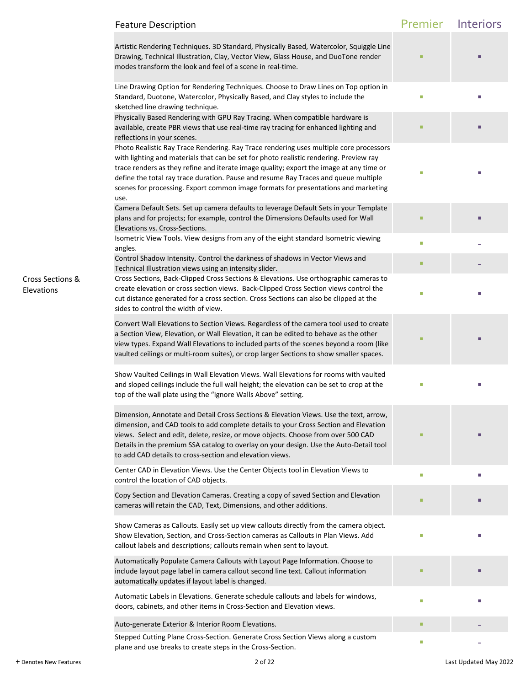|                                | <b>Feature Description</b>                                                                                                                                                                                                                                                                                                                                                                                                                                       | Premier | Interiors |
|--------------------------------|------------------------------------------------------------------------------------------------------------------------------------------------------------------------------------------------------------------------------------------------------------------------------------------------------------------------------------------------------------------------------------------------------------------------------------------------------------------|---------|-----------|
|                                | Artistic Rendering Techniques. 3D Standard, Physically Based, Watercolor, Squiggle Line<br>Drawing, Technical Illustration, Clay, Vector View, Glass House, and DuoTone render<br>modes transform the look and feel of a scene in real-time.                                                                                                                                                                                                                     |         |           |
|                                | Line Drawing Option for Rendering Techniques. Choose to Draw Lines on Top option in<br>Standard, Duotone, Watercolor, Physically Based, and Clay styles to include the<br>sketched line drawing technique.                                                                                                                                                                                                                                                       | п       |           |
|                                | Physically Based Rendering with GPU Ray Tracing. When compatible hardware is<br>available, create PBR views that use real-time ray tracing for enhanced lighting and<br>reflections in your scenes.                                                                                                                                                                                                                                                              |         |           |
|                                | Photo Realistic Ray Trace Rendering. Ray Trace rendering uses multiple core processors<br>with lighting and materials that can be set for photo realistic rendering. Preview ray<br>trace renders as they refine and iterate image quality; export the image at any time or<br>define the total ray trace duration. Pause and resume Ray Traces and queue multiple<br>scenes for processing. Export common image formats for presentations and marketing<br>use. |         |           |
|                                | Camera Default Sets. Set up camera defaults to leverage Default Sets in your Template<br>plans and for projects; for example, control the Dimensions Defaults used for Wall<br>Elevations vs. Cross-Sections.                                                                                                                                                                                                                                                    |         |           |
|                                | Isometric View Tools. View designs from any of the eight standard Isometric viewing<br>angles.                                                                                                                                                                                                                                                                                                                                                                   | u.      |           |
|                                | Control Shadow Intensity. Control the darkness of shadows in Vector Views and<br>Technical Illustration views using an intensity slider.                                                                                                                                                                                                                                                                                                                         | ٠       |           |
| Cross Sections &<br>Elevations | Cross Sections, Back-Clipped Cross Sections & Elevations. Use orthographic cameras to<br>create elevation or cross section views. Back-Clipped Cross Section views control the<br>cut distance generated for a cross section. Cross Sections can also be clipped at the<br>sides to control the width of view.                                                                                                                                                   |         |           |
|                                | Convert Wall Elevations to Section Views. Regardless of the camera tool used to create<br>a Section View, Elevation, or Wall Elevation, it can be edited to behave as the other<br>view types. Expand Wall Elevations to included parts of the scenes beyond a room (like<br>vaulted ceilings or multi-room suites), or crop larger Sections to show smaller spaces.                                                                                             |         |           |
|                                | Show Vaulted Ceilings in Wall Elevation Views. Wall Elevations for rooms with vaulted<br>and sloped ceilings include the full wall height; the elevation can be set to crop at the<br>top of the wall plate using the "Ignore Walls Above" setting.                                                                                                                                                                                                              | г       |           |
|                                | Dimension, Annotate and Detail Cross Sections & Elevation Views. Use the text, arrow,<br>dimension, and CAD tools to add complete details to your Cross Section and Elevation<br>views. Select and edit, delete, resize, or move objects. Choose from over 500 CAD<br>Details in the premium SSA catalog to overlay on your design. Use the Auto-Detail tool<br>to add CAD details to cross-section and elevation views.                                         |         |           |
|                                | Center CAD in Elevation Views. Use the Center Objects tool in Elevation Views to<br>control the location of CAD objects.                                                                                                                                                                                                                                                                                                                                         |         |           |
|                                | Copy Section and Elevation Cameras. Creating a copy of saved Section and Elevation<br>cameras will retain the CAD, Text, Dimensions, and other additions.                                                                                                                                                                                                                                                                                                        |         |           |
|                                | Show Cameras as Callouts. Easily set up view callouts directly from the camera object.<br>Show Elevation, Section, and Cross-Section cameras as Callouts in Plan Views. Add<br>callout labels and descriptions; callouts remain when sent to layout.                                                                                                                                                                                                             | г       |           |
|                                | Automatically Populate Camera Callouts with Layout Page Information. Choose to<br>include layout page label in camera callout second line text. Callout information<br>automatically updates if layout label is changed.                                                                                                                                                                                                                                         |         |           |
|                                | Automatic Labels in Elevations. Generate schedule callouts and labels for windows,<br>doors, cabinets, and other items in Cross-Section and Elevation views.                                                                                                                                                                                                                                                                                                     | П       |           |
|                                | Auto-generate Exterior & Interior Room Elevations.                                                                                                                                                                                                                                                                                                                                                                                                               | ٠       |           |
|                                | Stepped Cutting Plane Cross-Section. Generate Cross Section Views along a custom<br>plane and use breaks to create steps in the Cross-Section.                                                                                                                                                                                                                                                                                                                   | ш       |           |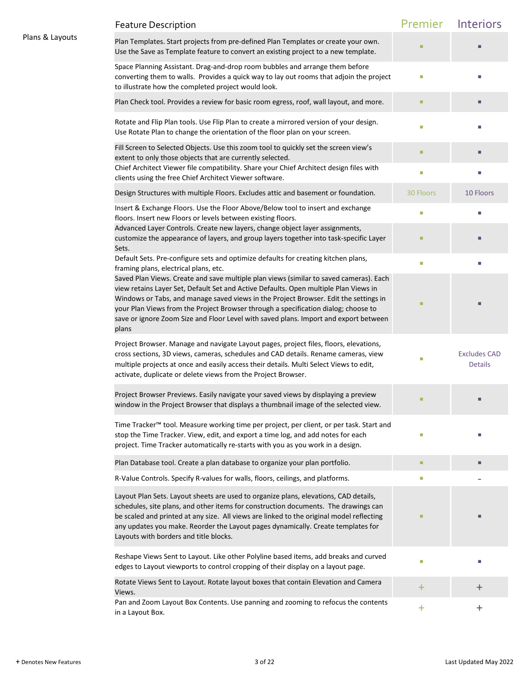|                 | <b>Feature Description</b>                                                                                                                                                                                                                                                                                                                                                                                                                                    | Premier   | Interiors                             |
|-----------------|---------------------------------------------------------------------------------------------------------------------------------------------------------------------------------------------------------------------------------------------------------------------------------------------------------------------------------------------------------------------------------------------------------------------------------------------------------------|-----------|---------------------------------------|
| Plans & Layouts | Plan Templates. Start projects from pre-defined Plan Templates or create your own.<br>Use the Save as Template feature to convert an existing project to a new template.                                                                                                                                                                                                                                                                                      |           |                                       |
|                 | Space Planning Assistant. Drag-and-drop room bubbles and arrange them before<br>converting them to walls. Provides a quick way to lay out rooms that adjoin the project<br>to illustrate how the completed project would look.                                                                                                                                                                                                                                | L.        |                                       |
|                 | Plan Check tool. Provides a review for basic room egress, roof, wall layout, and more.                                                                                                                                                                                                                                                                                                                                                                        | ٠         |                                       |
|                 | Rotate and Flip Plan tools. Use Flip Plan to create a mirrored version of your design.<br>Use Rotate Plan to change the orientation of the floor plan on your screen.                                                                                                                                                                                                                                                                                         | п         |                                       |
|                 | Fill Screen to Selected Objects. Use this zoom tool to quickly set the screen view's<br>extent to only those objects that are currently selected.                                                                                                                                                                                                                                                                                                             |           |                                       |
|                 | Chief Architect Viewer file compatibility. Share your Chief Architect design files with<br>clients using the free Chief Architect Viewer software.                                                                                                                                                                                                                                                                                                            | $\Box$    | п                                     |
|                 | Design Structures with multiple Floors. Excludes attic and basement or foundation.                                                                                                                                                                                                                                                                                                                                                                            | 30 Floors | 10 Floors                             |
|                 | Insert & Exchange Floors. Use the Floor Above/Below tool to insert and exchange<br>floors. Insert new Floors or levels between existing floors.                                                                                                                                                                                                                                                                                                               | L.        | п                                     |
|                 | Advanced Layer Controls. Create new layers, change object layer assignments,<br>customize the appearance of layers, and group layers together into task-specific Layer<br>Sets.                                                                                                                                                                                                                                                                               |           |                                       |
|                 | Default Sets. Pre-configure sets and optimize defaults for creating kitchen plans,<br>framing plans, electrical plans, etc.                                                                                                                                                                                                                                                                                                                                   | $\Box$    |                                       |
|                 | Saved Plan Views. Create and save multiple plan views (similar to saved cameras). Each<br>view retains Layer Set, Default Set and Active Defaults. Open multiple Plan Views in<br>Windows or Tabs, and manage saved views in the Project Browser. Edit the settings in<br>your Plan Views from the Project Browser through a specification dialog; choose to<br>save or ignore Zoom Size and Floor Level with saved plans. Import and export between<br>plans |           |                                       |
|                 | Project Browser. Manage and navigate Layout pages, project files, floors, elevations,<br>cross sections, 3D views, cameras, schedules and CAD details. Rename cameras, view<br>multiple projects at once and easily access their details. Multi Select Views to edit,<br>activate, duplicate or delete views from the Project Browser.                                                                                                                        | ш         | <b>Excludes CAD</b><br><b>Details</b> |
|                 | Project Browser Previews. Easily navigate your saved views by displaying a preview<br>window in the Project Browser that displays a thumbnail image of the selected view.                                                                                                                                                                                                                                                                                     |           |                                       |
|                 | Time Tracker <sup>™</sup> tool. Measure working time per project, per client, or per task. Start and<br>stop the Time Tracker. View, edit, and export a time log, and add notes for each<br>project. Time Tracker automatically re-starts with you as you work in a design.                                                                                                                                                                                   | П         |                                       |
|                 | Plan Database tool. Create a plan database to organize your plan portfolio.                                                                                                                                                                                                                                                                                                                                                                                   | ٠         | п                                     |
|                 | R-Value Controls. Specify R-values for walls, floors, ceilings, and platforms.                                                                                                                                                                                                                                                                                                                                                                                | $\Box$    |                                       |
|                 | Layout Plan Sets. Layout sheets are used to organize plans, elevations, CAD details,<br>schedules, site plans, and other items for construction documents. The drawings can<br>be scaled and printed at any size. All views are linked to the original model reflecting<br>any updates you make. Reorder the Layout pages dynamically. Create templates for<br>Layouts with borders and title blocks.                                                         |           |                                       |
|                 | Reshape Views Sent to Layout. Like other Polyline based items, add breaks and curved<br>edges to Layout viewports to control cropping of their display on a layout page.                                                                                                                                                                                                                                                                                      | $\Box$    |                                       |
|                 | Rotate Views Sent to Layout. Rotate layout boxes that contain Elevation and Camera<br>Views.                                                                                                                                                                                                                                                                                                                                                                  | ÷.        | $\pm$                                 |
|                 | Pan and Zoom Layout Box Contents. Use panning and zooming to refocus the contents<br>in a Layout Box.                                                                                                                                                                                                                                                                                                                                                         | ÷.        | +                                     |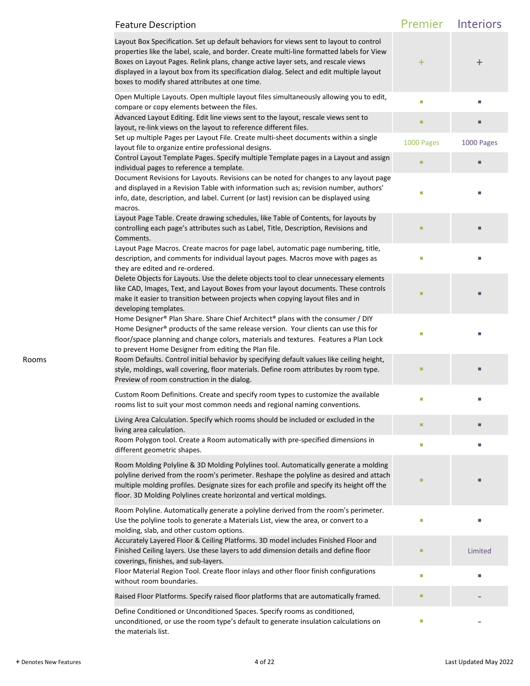|       | <b>Feature Description</b>                                                                                                                                                                                                                                                                                                                                                                                            | Premier    | Interiors  |
|-------|-----------------------------------------------------------------------------------------------------------------------------------------------------------------------------------------------------------------------------------------------------------------------------------------------------------------------------------------------------------------------------------------------------------------------|------------|------------|
|       | Layout Box Specification. Set up default behaviors for views sent to layout to control<br>properties like the label, scale, and border. Create multi-line formatted labels for View<br>Boxes on Layout Pages. Relink plans, change active layer sets, and rescale views<br>displayed in a layout box from its specification dialog. Select and edit multiple layout<br>boxes to modify shared attributes at one time. | $\pm$      | $\pm$      |
|       | Open Multiple Layouts. Open multiple layout files simultaneously allowing you to edit,<br>compare or copy elements between the files.                                                                                                                                                                                                                                                                                 | $\Box$     |            |
|       | Advanced Layout Editing. Edit line views sent to the layout, rescale views sent to<br>layout, re-link views on the layout to reference different files.                                                                                                                                                                                                                                                               | ٠          |            |
|       | Set up multiple Pages per Layout File. Create multi-sheet documents within a single<br>layout file to organize entire professional designs.                                                                                                                                                                                                                                                                           | 1000 Pages | 1000 Pages |
|       | Control Layout Template Pages. Specify multiple Template pages in a Layout and assign<br>individual pages to reference a template.                                                                                                                                                                                                                                                                                    | ٠          |            |
|       | Document Revisions for Layouts. Revisions can be noted for changes to any layout page<br>and displayed in a Revision Table with information such as; revision number, authors'<br>info, date, description, and label. Current (or last) revision can be displayed using<br>macros.                                                                                                                                    | г          |            |
|       | Layout Page Table. Create drawing schedules, like Table of Contents, for layouts by<br>controlling each page's attributes such as Label, Title, Description, Revisions and<br>Comments.                                                                                                                                                                                                                               |            |            |
|       | Layout Page Macros. Create macros for page label, automatic page numbering, title,<br>description, and comments for individual layout pages. Macros move with pages as<br>they are edited and re-ordered.                                                                                                                                                                                                             | г          |            |
|       | Delete Objects for Layouts. Use the delete objects tool to clear unnecessary elements<br>like CAD, Images, Text, and Layout Boxes from your layout documents. These controls<br>make it easier to transition between projects when copying layout files and in<br>developing templates.                                                                                                                               |            |            |
|       | Home Designer® Plan Share. Share Chief Architect® plans with the consumer / DIY<br>Home Designer® products of the same release version. Your clients can use this for<br>floor/space planning and change colors, materials and textures. Features a Plan Lock<br>to prevent Home Designer from editing the Plan file.                                                                                                 | г          |            |
| Rooms | Room Defaults. Control initial behavior by specifying default values like ceiling height,<br>style, moldings, wall covering, floor materials. Define room attributes by room type.<br>Preview of room construction in the dialog.                                                                                                                                                                                     |            |            |
|       | Custom Room Definitions. Create and specify room types to customize the available<br>rooms list to suit your most common needs and regional naming conventions.                                                                                                                                                                                                                                                       | г          |            |
|       | Living Area Calculation. Specify which rooms should be included or excluded in the<br>living area calculation.                                                                                                                                                                                                                                                                                                        | ٠          | г          |
|       | Room Polygon tool. Create a Room automatically with pre-specified dimensions in<br>different geometric shapes.                                                                                                                                                                                                                                                                                                        | ш          | п          |
|       | Room Molding Polyline & 3D Molding Polylines tool. Automatically generate a molding<br>polyline derived from the room's perimeter. Reshape the polyline as desired and attach<br>multiple molding profiles. Designate sizes for each profile and specify its height off the<br>floor. 3D Molding Polylines create horizontal and vertical moldings.                                                                   |            |            |
|       | Room Polyline. Automatically generate a polyline derived from the room's perimeter.<br>Use the polyline tools to generate a Materials List, view the area, or convert to a<br>molding, slab, and other custom options.                                                                                                                                                                                                | $\Box$     | г          |
|       | Accurately Layered Floor & Ceiling Platforms. 3D model includes Finished Floor and<br>Finished Ceiling layers. Use these layers to add dimension details and define floor<br>coverings, finishes, and sub-layers.                                                                                                                                                                                                     |            | Limited    |
|       | Floor Material Region Tool. Create floor inlays and other floor finish configurations<br>without room boundaries.                                                                                                                                                                                                                                                                                                     | ш          |            |
|       | Raised Floor Platforms. Specify raised floor platforms that are automatically framed.                                                                                                                                                                                                                                                                                                                                 | ٠          |            |
|       | Define Conditioned or Unconditioned Spaces. Specify rooms as conditioned,<br>unconditioned, or use the room type's default to generate insulation calculations on<br>the materials list.                                                                                                                                                                                                                              | ш          |            |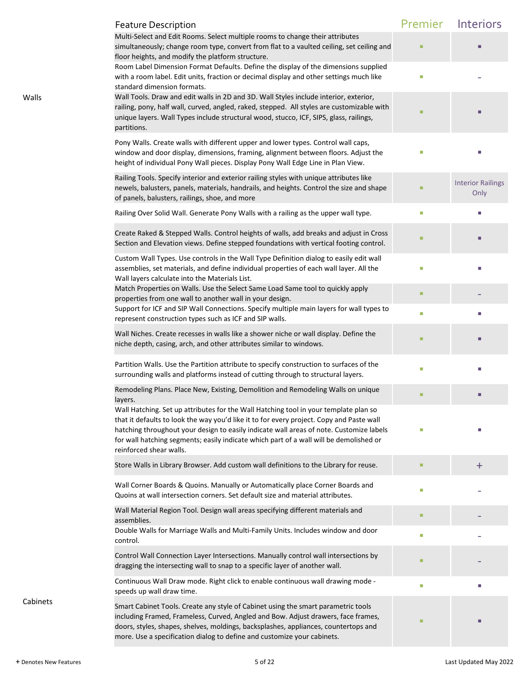|          | <b>Feature Description</b>                                                                                                                                                                                                                                                                                                                                                                       | Premier | Interiors                        |
|----------|--------------------------------------------------------------------------------------------------------------------------------------------------------------------------------------------------------------------------------------------------------------------------------------------------------------------------------------------------------------------------------------------------|---------|----------------------------------|
|          | Multi-Select and Edit Rooms. Select multiple rooms to change their attributes<br>simultaneously; change room type, convert from flat to a vaulted ceiling, set ceiling and<br>floor heights, and modify the platform structure.                                                                                                                                                                  |         |                                  |
|          | Room Label Dimension Format Defaults. Define the display of the dimensions supplied<br>with a room label. Edit units, fraction or decimal display and other settings much like<br>standard dimension formats.                                                                                                                                                                                    | o.      |                                  |
| Walls    | Wall Tools. Draw and edit walls in 2D and 3D. Wall Styles include interior, exterior,<br>railing, pony, half wall, curved, angled, raked, stepped. All styles are customizable with<br>unique layers. Wall Types include structural wood, stucco, ICF, SIPS, glass, railings,<br>partitions.                                                                                                     |         |                                  |
|          | Pony Walls. Create walls with different upper and lower types. Control wall caps,<br>window and door display, dimensions, framing, alignment between floors. Adjust the<br>height of individual Pony Wall pieces. Display Pony Wall Edge Line in Plan View.                                                                                                                                      |         |                                  |
|          | Railing Tools. Specify interior and exterior railing styles with unique attributes like<br>newels, balusters, panels, materials, handrails, and heights. Control the size and shape<br>of panels, balusters, railings, shoe, and more                                                                                                                                                            |         | <b>Interior Railings</b><br>Only |
|          | Railing Over Solid Wall. Generate Pony Walls with a railing as the upper wall type.                                                                                                                                                                                                                                                                                                              | o.      |                                  |
|          | Create Raked & Stepped Walls. Control heights of walls, add breaks and adjust in Cross<br>Section and Elevation views. Define stepped foundations with vertical footing control.                                                                                                                                                                                                                 |         |                                  |
|          | Custom Wall Types. Use controls in the Wall Type Definition dialog to easily edit wall<br>assemblies, set materials, and define individual properties of each wall layer. All the<br>Wall layers calculate into the Materials List.                                                                                                                                                              |         |                                  |
|          | Match Properties on Walls. Use the Select Same Load Same tool to quickly apply<br>properties from one wall to another wall in your design.                                                                                                                                                                                                                                                       |         |                                  |
|          | Support for ICF and SIP Wall Connections. Specify multiple main layers for wall types to<br>represent construction types such as ICF and SIP walls.                                                                                                                                                                                                                                              | L.      |                                  |
|          | Wall Niches. Create recesses in walls like a shower niche or wall display. Define the<br>niche depth, casing, arch, and other attributes similar to windows.                                                                                                                                                                                                                                     | п       |                                  |
|          | Partition Walls. Use the Partition attribute to specify construction to surfaces of the<br>surrounding walls and platforms instead of cutting through to structural layers.                                                                                                                                                                                                                      | П       |                                  |
|          | Remodeling Plans. Place New, Existing, Demolition and Remodeling Walls on unique<br>layers.                                                                                                                                                                                                                                                                                                      | ٠       |                                  |
|          | Wall Hatching. Set up attributes for the Wall Hatching tool in your template plan so<br>that it defaults to look the way you'd like it to for every project. Copy and Paste wall<br>hatching throughout your design to easily indicate wall areas of note. Customize labels<br>for wall hatching segments; easily indicate which part of a wall will be demolished or<br>reinforced shear walls. |         |                                  |
|          | Store Walls in Library Browser. Add custom wall definitions to the Library for reuse.                                                                                                                                                                                                                                                                                                            |         | $\pm$                            |
|          | Wall Corner Boards & Quoins. Manually or Automatically place Corner Boards and<br>Quoins at wall intersection corners. Set default size and material attributes.                                                                                                                                                                                                                                 | П       |                                  |
|          | Wall Material Region Tool. Design wall areas specifying different materials and<br>assemblies.<br>Double Walls for Marriage Walls and Multi-Family Units. Includes window and door                                                                                                                                                                                                               | ٠       |                                  |
|          | control.                                                                                                                                                                                                                                                                                                                                                                                         | п       |                                  |
|          | Control Wall Connection Layer Intersections. Manually control wall intersections by<br>dragging the intersecting wall to snap to a specific layer of another wall.                                                                                                                                                                                                                               |         |                                  |
|          | Continuous Wall Draw mode. Right click to enable continuous wall drawing mode -<br>speeds up wall draw time.                                                                                                                                                                                                                                                                                     | L.      | U.                               |
| Cabinets | Smart Cabinet Tools. Create any style of Cabinet using the smart parametric tools<br>including Framed, Frameless, Curved, Angled and Bow. Adjust drawers, face frames,<br>doors, styles, shapes, shelves, moldings, backsplashes, appliances, countertops and<br>more. Use a specification dialog to define and customize your cabinets.                                                         |         |                                  |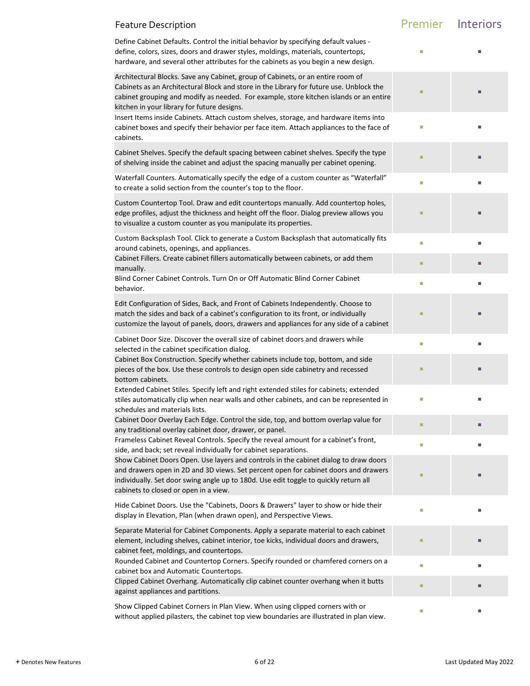| <b>Feature Description</b>                                                                                                                                                                                                                                                                                          | Premier Interiors |   |
|---------------------------------------------------------------------------------------------------------------------------------------------------------------------------------------------------------------------------------------------------------------------------------------------------------------------|-------------------|---|
| Define Cabinet Defaults. Control the initial behavior by specifying default values -<br>define, colors, sizes, doors and drawer styles, moldings, materials, countertops,<br>hardware, and several other attributes for the cabinets as you begin a new design.                                                     | Г                 |   |
| Architectural Blocks. Save any Cabinet, group of Cabinets, or an entire room of<br>Cabinets as an Architectural Block and store in the Library for future use. Unblock the<br>cabinet grouping and modify as needed. For example, store kitchen islands or an entire<br>kitchen in your library for future designs. |                   |   |
| Insert Items inside Cabinets. Attach custom shelves, storage, and hardware items into<br>cabinet boxes and specify their behavior per face item. Attach appliances to the face of<br>cabinets.                                                                                                                      | П                 |   |
| Cabinet Shelves. Specify the default spacing between cabinet shelves. Specify the type<br>of shelving inside the cabinet and adjust the spacing manually per cabinet opening.                                                                                                                                       | п                 |   |
| Waterfall Counters. Automatically specify the edge of a custom counter as "Waterfall"<br>to create a solid section from the counter's top to the floor.                                                                                                                                                             | П                 | ш |
| Custom Countertop Tool. Draw and edit countertops manually. Add countertop holes,<br>edge profiles, adjust the thickness and height off the floor. Dialog preview allows you<br>to visualize a custom counter as you manipulate its properties.                                                                     |                   |   |
| Custom Backsplash Tool. Click to generate a Custom Backsplash that automatically fits<br>around cabinets, openings, and appliances.                                                                                                                                                                                 | п                 | П |
| Cabinet Fillers. Create cabinet fillers automatically between cabinets, or add them<br>manually.                                                                                                                                                                                                                    | п                 |   |
| Blind Corner Cabinet Controls. Turn On or Off Automatic Blind Corner Cabinet<br>behavior.                                                                                                                                                                                                                           | П                 |   |
| Edit Configuration of Sides, Back, and Front of Cabinets Independently. Choose to<br>match the sides and back of a cabinet's configuration to its front, or individually<br>customize the layout of panels, doors, drawers and appliances for any side of a cabinet                                                 | ٠                 |   |
| Cabinet Door Size. Discover the overall size of cabinet doors and drawers while<br>selected in the cabinet specification dialog.                                                                                                                                                                                    | $\Box$            | ш |
| Cabinet Box Construction. Specify whether cabinets include top, bottom, and side<br>pieces of the box. Use these controls to design open side cabinetry and recessed<br>bottom cabinets.                                                                                                                            | п                 |   |
| Extended Cabinet Stiles. Specify left and right extended stiles for cabinets; extended<br>stiles automatically clip when near walls and other cabinets, and can be represented in<br>schedules and materials lists.                                                                                                 | L.                |   |
| Cabinet Door Overlay Each Edge. Control the side, top, and bottom overlap value for<br>any traditional overlay cabinet door, drawer, or panel.                                                                                                                                                                      | п                 | п |
| Frameless Cabinet Reveal Controls. Specify the reveal amount for a cabinet's front,<br>side, and back; set reveal individually for cabinet separations.                                                                                                                                                             | П                 | п |
| Show Cabinet Doors Open. Use layers and controls in the cabinet dialog to draw doors<br>and drawers open in 2D and 3D views. Set percent open for cabinet doors and drawers<br>individually. Set door swing angle up to 180d. Use edit toggle to quickly return all<br>cabinets to closed or open in a view.        | ш                 |   |
| Hide Cabinet Doors. Use the "Cabinets, Doors & Drawers" layer to show or hide their<br>display in Elevation, Plan (when drawn open), and Perspective Views.                                                                                                                                                         | I.                |   |
| Separate Material for Cabinet Components. Apply a separate material to each cabinet<br>element, including shelves, cabinet interior, toe kicks, individual doors and drawers,<br>cabinet feet, moldings, and countertops.                                                                                           | П                 |   |
| Rounded Cabinet and Countertop Corners. Specify rounded or chamfered corners on a<br>cabinet box and Automatic Countertops.                                                                                                                                                                                         | E                 |   |
| Clipped Cabinet Overhang. Automatically clip cabinet counter overhang when it butts<br>against appliances and partitions.                                                                                                                                                                                           | ٠                 |   |
| Show Clipped Cabinet Corners in Plan View. When using clipped corners with or<br>without applied pilasters, the cabinet top view boundaries are illustrated in plan view.                                                                                                                                           | I.                | ш |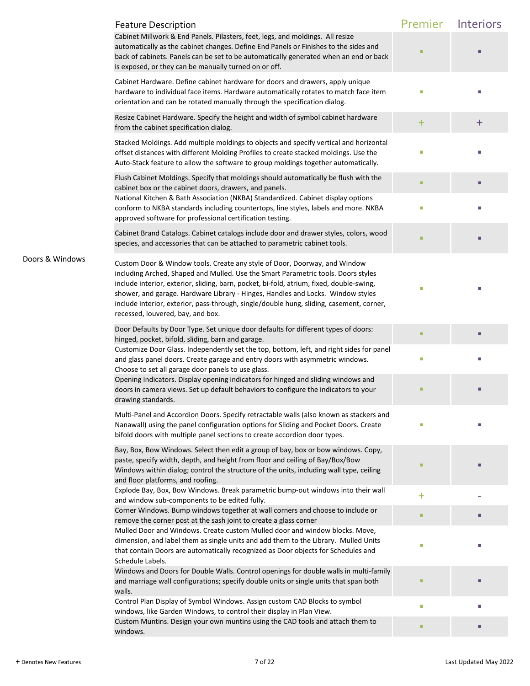|                 | <b>Feature Description</b>                                                                                                                                                                                                                                                                                                                                                                                                                                                     | Premier   | Interiors |
|-----------------|--------------------------------------------------------------------------------------------------------------------------------------------------------------------------------------------------------------------------------------------------------------------------------------------------------------------------------------------------------------------------------------------------------------------------------------------------------------------------------|-----------|-----------|
|                 | Cabinet Millwork & End Panels. Pilasters, feet, legs, and moldings. All resize<br>automatically as the cabinet changes. Define End Panels or Finishes to the sides and<br>back of cabinets. Panels can be set to be automatically generated when an end or back<br>is exposed, or they can be manually turned on or off.                                                                                                                                                       |           |           |
|                 | Cabinet Hardware. Define cabinet hardware for doors and drawers, apply unique<br>hardware to individual face items. Hardware automatically rotates to match face item<br>orientation and can be rotated manually through the specification dialog.                                                                                                                                                                                                                             |           |           |
|                 | Resize Cabinet Hardware. Specify the height and width of symbol cabinet hardware<br>from the cabinet specification dialog.                                                                                                                                                                                                                                                                                                                                                     | $\ddot{}$ | $\pm$     |
|                 | Stacked Moldings. Add multiple moldings to objects and specify vertical and horizontal<br>offset distances with different Molding Profiles to create stacked moldings. Use the<br>Auto-Stack feature to allow the software to group moldings together automatically.                                                                                                                                                                                                           |           |           |
|                 | Flush Cabinet Moldings. Specify that moldings should automatically be flush with the<br>cabinet box or the cabinet doors, drawers, and panels.                                                                                                                                                                                                                                                                                                                                 |           |           |
|                 | National Kitchen & Bath Association (NKBA) Standardized. Cabinet display options<br>conform to NKBA standards including countertops, line styles, labels and more. NKBA<br>approved software for professional certification testing.                                                                                                                                                                                                                                           | г         |           |
|                 | Cabinet Brand Catalogs. Cabinet catalogs include door and drawer styles, colors, wood<br>species, and accessories that can be attached to parametric cabinet tools.                                                                                                                                                                                                                                                                                                            |           |           |
| Doors & Windows | Custom Door & Window tools. Create any style of Door, Doorway, and Window<br>including Arched, Shaped and Mulled. Use the Smart Parametric tools. Doors styles<br>include interior, exterior, sliding, barn, pocket, bi-fold, atrium, fixed, double-swing,<br>shower, and garage. Hardware Library - Hinges, Handles and Locks. Window styles<br>include interior, exterior, pass-through, single/double hung, sliding, casement, corner,<br>recessed, louvered, bay, and box. |           |           |
|                 | Door Defaults by Door Type. Set unique door defaults for different types of doors:<br>hinged, pocket, bifold, sliding, barn and garage.                                                                                                                                                                                                                                                                                                                                        |           |           |
|                 | Customize Door Glass. Independently set the top, bottom, left, and right sides for panel<br>and glass panel doors. Create garage and entry doors with asymmetric windows.<br>Choose to set all garage door panels to use glass.                                                                                                                                                                                                                                                |           |           |
|                 | Opening Indicators. Display opening indicators for hinged and sliding windows and<br>doors in camera views. Set up default behaviors to configure the indicators to your<br>drawing standards.                                                                                                                                                                                                                                                                                 |           |           |
|                 | Multi-Panel and Accordion Doors. Specify retractable walls (also known as stackers and<br>Nanawall) using the panel configuration options for Sliding and Pocket Doors. Create<br>bifold doors with multiple panel sections to create accordion door types.                                                                                                                                                                                                                    |           |           |
|                 | Bay, Box, Bow Windows. Select then edit a group of bay, box or bow windows. Copy,<br>paste, specify width, depth, and height from floor and ceiling of Bay/Box/Bow<br>Windows within dialog; control the structure of the units, including wall type, ceiling<br>and floor platforms, and roofing.                                                                                                                                                                             |           |           |
|                 | Explode Bay, Box, Bow Windows. Break parametric bump-out windows into their wall<br>and window sub-components to be edited fully.                                                                                                                                                                                                                                                                                                                                              | $\ddot{}$ |           |
|                 | Corner Windows. Bump windows together at wall corners and choose to include or<br>remove the corner post at the sash joint to create a glass corner                                                                                                                                                                                                                                                                                                                            |           | п         |
|                 | Mulled Door and Windows. Create custom Mulled door and window blocks. Move,<br>dimension, and label them as single units and add them to the Library. Mulled Units<br>that contain Doors are automatically recognized as Door objects for Schedules and<br>Schedule Labels.                                                                                                                                                                                                    |           |           |
|                 | Windows and Doors for Double Walls. Control openings for double walls in multi-family<br>and marriage wall configurations; specify double units or single units that span both<br>walls.                                                                                                                                                                                                                                                                                       |           |           |
|                 | Control Plan Display of Symbol Windows. Assign custom CAD Blocks to symbol<br>windows, like Garden Windows, to control their display in Plan View.                                                                                                                                                                                                                                                                                                                             | Ī.        | П         |
|                 | Custom Muntins. Design your own muntins using the CAD tools and attach them to<br>windows.                                                                                                                                                                                                                                                                                                                                                                                     | г         |           |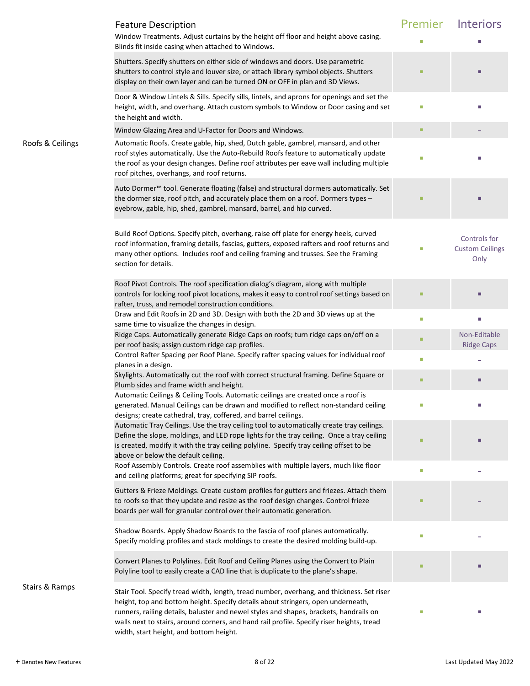|                  | <b>Feature Description</b><br>Window Treatments. Adjust curtains by the height off floor and height above casing.<br>Blinds fit inside casing when attached to Windows.                                                                                                                                                                                                                                         | Premier<br>П | Interiors                                      |
|------------------|-----------------------------------------------------------------------------------------------------------------------------------------------------------------------------------------------------------------------------------------------------------------------------------------------------------------------------------------------------------------------------------------------------------------|--------------|------------------------------------------------|
|                  | Shutters. Specify shutters on either side of windows and doors. Use parametric<br>shutters to control style and louver size, or attach library symbol objects. Shutters<br>display on their own layer and can be turned ON or OFF in plan and 3D Views.                                                                                                                                                         |              |                                                |
|                  | Door & Window Lintels & Sills. Specify sills, lintels, and aprons for openings and set the<br>height, width, and overhang. Attach custom symbols to Window or Door casing and set<br>the height and width.                                                                                                                                                                                                      | I.           |                                                |
|                  | Window Glazing Area and U-Factor for Doors and Windows.                                                                                                                                                                                                                                                                                                                                                         | ٠            |                                                |
| Roofs & Ceilings | Automatic Roofs. Create gable, hip, shed, Dutch gable, gambrel, mansard, and other<br>roof styles automatically. Use the Auto-Rebuild Roofs feature to automatically update<br>the roof as your design changes. Define roof attributes per eave wall including multiple<br>roof pitches, overhangs, and roof returns.                                                                                           | п            |                                                |
|                  | Auto Dormer™ tool. Generate floating (false) and structural dormers automatically. Set<br>the dormer size, roof pitch, and accurately place them on a roof. Dormers types -<br>eyebrow, gable, hip, shed, gambrel, mansard, barrel, and hip curved.                                                                                                                                                             |              |                                                |
|                  | Build Roof Options. Specify pitch, overhang, raise off plate for energy heels, curved<br>roof information, framing details, fascias, gutters, exposed rafters and roof returns and<br>many other options. Includes roof and ceiling framing and trusses. See the Framing<br>section for details.                                                                                                                | L.           | Controls for<br><b>Custom Ceilings</b><br>Only |
|                  | Roof Pivot Controls. The roof specification dialog's diagram, along with multiple<br>controls for locking roof pivot locations, makes it easy to control roof settings based on<br>rafter, truss, and remodel construction conditions.                                                                                                                                                                          |              |                                                |
|                  | Draw and Edit Roofs in 2D and 3D. Design with both the 2D and 3D views up at the                                                                                                                                                                                                                                                                                                                                | I.           | п                                              |
|                  | same time to visualize the changes in design.<br>Ridge Caps. Automatically generate Ridge Caps on roofs; turn ridge caps on/off on a<br>per roof basis; assign custom ridge cap profiles.                                                                                                                                                                                                                       | ٠            | Non-Editable<br><b>Ridge Caps</b>              |
|                  | Control Rafter Spacing per Roof Plane. Specify rafter spacing values for individual roof                                                                                                                                                                                                                                                                                                                        | I.           |                                                |
|                  | planes in a design.<br>Skylights. Automatically cut the roof with correct structural framing. Define Square or<br>Plumb sides and frame width and height.                                                                                                                                                                                                                                                       | п            |                                                |
|                  | Automatic Ceilings & Ceiling Tools. Automatic ceilings are created once a roof is<br>generated. Manual Ceilings can be drawn and modified to reflect non-standard ceiling<br>designs; create cathedral, tray, coffered, and barrel ceilings.                                                                                                                                                                    |              |                                                |
|                  | Automatic Tray Ceilings. Use the tray ceiling tool to automatically create tray ceilings.<br>Define the slope, moldings, and LED rope lights for the tray ceiling. Once a tray ceiling<br>is created, modify it with the tray ceiling polyline. Specify tray ceiling offset to be<br>above or below the default ceiling.                                                                                        |              |                                                |
|                  | Roof Assembly Controls. Create roof assemblies with multiple layers, much like floor<br>and ceiling platforms; great for specifying SIP roofs.                                                                                                                                                                                                                                                                  | I.           |                                                |
|                  | Gutters & Frieze Moldings. Create custom profiles for gutters and friezes. Attach them<br>to roofs so that they update and resize as the roof design changes. Control frieze<br>boards per wall for granular control over their automatic generation.                                                                                                                                                           | ■            |                                                |
|                  | Shadow Boards. Apply Shadow Boards to the fascia of roof planes automatically.<br>Specify molding profiles and stack moldings to create the desired molding build-up.                                                                                                                                                                                                                                           | L.           |                                                |
|                  | Convert Planes to Polylines. Edit Roof and Ceiling Planes using the Convert to Plain<br>Polyline tool to easily create a CAD line that is duplicate to the plane's shape.                                                                                                                                                                                                                                       | ٠            |                                                |
| Stairs & Ramps   | Stair Tool. Specify tread width, length, tread number, overhang, and thickness. Set riser<br>height, top and bottom height. Specify details about stringers, open underneath,<br>runners, railing details, baluster and newel styles and shapes, brackets, handrails on<br>walls next to stairs, around corners, and hand rail profile. Specify riser heights, tread<br>width, start height, and bottom height. |              |                                                |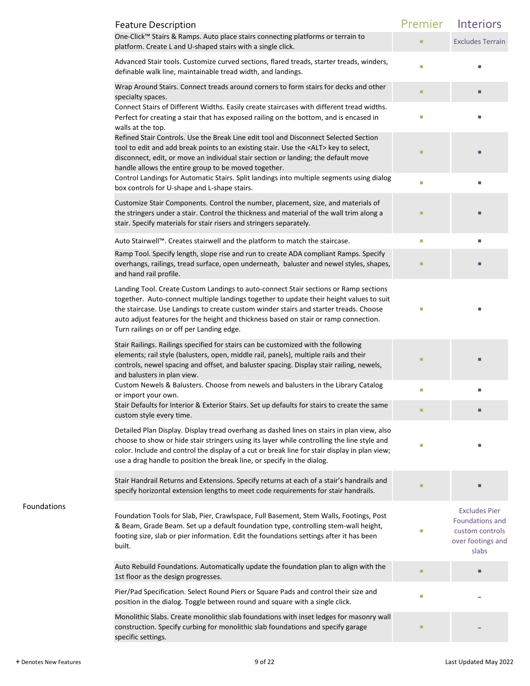|             | <b>Feature Description</b>                                                                                                                                                                                                                                                                                                                                                                                    | Premier | Interiors                                                                                |
|-------------|---------------------------------------------------------------------------------------------------------------------------------------------------------------------------------------------------------------------------------------------------------------------------------------------------------------------------------------------------------------------------------------------------------------|---------|------------------------------------------------------------------------------------------|
|             | One-Click™ Stairs & Ramps. Auto place stairs connecting platforms or terrain to<br>platform. Create L and U-shaped stairs with a single click.                                                                                                                                                                                                                                                                | ٠       | <b>Excludes Terrain</b>                                                                  |
|             | Advanced Stair tools. Customize curved sections, flared treads, starter treads, winders,<br>definable walk line, maintainable tread width, and landings.                                                                                                                                                                                                                                                      | п       |                                                                                          |
|             | Wrap Around Stairs. Connect treads around corners to form stairs for decks and other<br>specialty spaces.                                                                                                                                                                                                                                                                                                     | ٠       |                                                                                          |
|             | Connect Stairs of Different Widths. Easily create staircases with different tread widths.<br>Perfect for creating a stair that has exposed railing on the bottom, and is encased in<br>walls at the top.                                                                                                                                                                                                      | L.      |                                                                                          |
|             | Refined Stair Controls. Use the Break Line edit tool and Disconnect Selected Section<br>tool to edit and add break points to an existing stair. Use the <alt> key to select,<br/>disconnect, edit, or move an individual stair section or landing; the default move<br/>handle allows the entire group to be moved together.</alt>                                                                            | ■       |                                                                                          |
|             | Control Landings for Automatic Stairs. Split landings into multiple segments using dialog<br>box controls for U-shape and L-shape stairs.                                                                                                                                                                                                                                                                     | П       |                                                                                          |
|             | Customize Stair Components. Control the number, placement, size, and materials of<br>the stringers under a stair. Control the thickness and material of the wall trim along a<br>stair. Specify materials for stair risers and stringers separately.                                                                                                                                                          | ш       |                                                                                          |
|             | Auto Stairwell™. Creates stairwell and the platform to match the staircase.                                                                                                                                                                                                                                                                                                                                   | o.      | П                                                                                        |
|             | Ramp Tool. Specify length, slope rise and run to create ADA compliant Ramps. Specify<br>overhangs, railings, tread surface, open underneath, baluster and newel styles, shapes,<br>and hand rail profile.                                                                                                                                                                                                     | ш       | г                                                                                        |
|             | Landing Tool. Create Custom Landings to auto-connect Stair sections or Ramp sections<br>together. Auto-connect multiple landings together to update their height values to suit<br>the staircase. Use Landings to create custom winder stairs and starter treads. Choose<br>auto adjust features for the height and thickness based on stair or ramp connection.<br>Turn railings on or off per Landing edge. |         |                                                                                          |
|             | Stair Railings. Railings specified for stairs can be customized with the following<br>elements; rail style (balusters, open, middle rail, panels), multiple rails and their<br>controls, newel spacing and offset, and baluster spacing. Display stair railing, newels,<br>and balusters in plan view.                                                                                                        |         |                                                                                          |
|             | Custom Newels & Balusters. Choose from newels and balusters in the Library Catalog<br>or import your own.                                                                                                                                                                                                                                                                                                     | L.      |                                                                                          |
|             | Stair Defaults for Interior & Exterior Stairs. Set up defaults for stairs to create the same<br>custom style every time.                                                                                                                                                                                                                                                                                      | п       |                                                                                          |
|             | Detailed Plan Display. Display tread overhang as dashed lines on stairs in plan view, also<br>choose to show or hide stair stringers using its layer while controlling the line style and<br>color. Include and control the display of a cut or break line for stair display in plan view;<br>use a drag handle to position the break line, or specify in the dialog.                                         |         |                                                                                          |
|             | Stair Handrail Returns and Extensions. Specify returns at each of a stair's handrails and<br>specify horizontal extension lengths to meet code requirements for stair handrails.                                                                                                                                                                                                                              | ٠       |                                                                                          |
| Foundations | Foundation Tools for Slab, Pier, Crawlspace, Full Basement, Stem Walls, Footings, Post<br>& Beam, Grade Beam. Set up a default foundation type, controlling stem-wall height,<br>footing size, slab or pier information. Edit the foundations settings after it has been<br>built.                                                                                                                            | П       | <b>Excludes Pier</b><br>Foundations and<br>custom controls<br>over footings and<br>slabs |
|             | Auto Rebuild Foundations. Automatically update the foundation plan to align with the<br>1st floor as the design progresses.                                                                                                                                                                                                                                                                                   |         | п                                                                                        |
|             | Pier/Pad Specification. Select Round Piers or Square Pads and control their size and<br>position in the dialog. Toggle between round and square with a single click.                                                                                                                                                                                                                                          | L.      |                                                                                          |
|             | Monolithic Slabs. Create monolithic slab foundations with inset ledges for masonry wall<br>construction. Specify curbing for monolithic slab foundations and specify garage<br>specific settings.                                                                                                                                                                                                             |         |                                                                                          |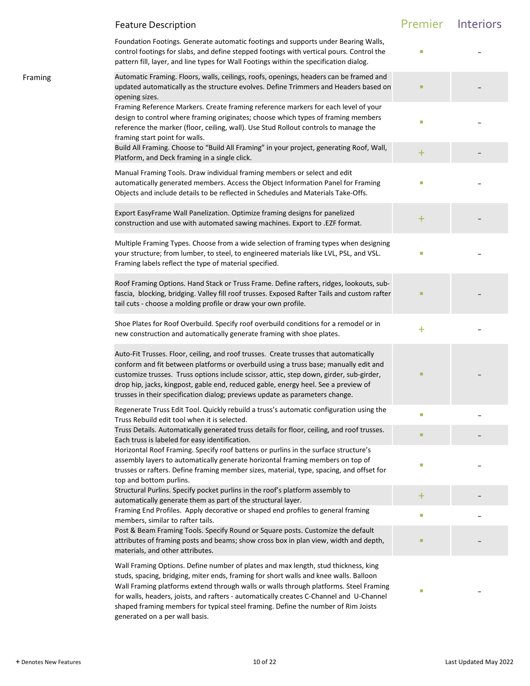|         | <b>Feature Description</b>                                                                                                                                                                                                                                                                                                                                                                                                                                                             | Premier   | Interiors |
|---------|----------------------------------------------------------------------------------------------------------------------------------------------------------------------------------------------------------------------------------------------------------------------------------------------------------------------------------------------------------------------------------------------------------------------------------------------------------------------------------------|-----------|-----------|
|         | Foundation Footings. Generate automatic footings and supports under Bearing Walls,<br>control footings for slabs, and define stepped footings with vertical pours. Control the<br>pattern fill, layer, and line types for Wall Footings within the specification dialog.                                                                                                                                                                                                               |           |           |
| Framing | Automatic Framing. Floors, walls, ceilings, roofs, openings, headers can be framed and<br>updated automatically as the structure evolves. Define Trimmers and Headers based on<br>opening sizes.                                                                                                                                                                                                                                                                                       |           |           |
|         | Framing Reference Markers. Create framing reference markers for each level of your<br>design to control where framing originates; choose which types of framing members<br>reference the marker (floor, ceiling, wall). Use Stud Rollout controls to manage the<br>framing start point for walls.                                                                                                                                                                                      |           |           |
|         | Build All Framing. Choose to "Build All Framing" in your project, generating Roof, Wall,<br>Platform, and Deck framing in a single click.                                                                                                                                                                                                                                                                                                                                              | $\pm$     |           |
|         | Manual Framing Tools. Draw individual framing members or select and edit<br>automatically generated members. Access the Object Information Panel for Framing<br>Objects and include details to be reflected in Schedules and Materials Take-Offs.                                                                                                                                                                                                                                      |           |           |
|         | Export EasyFrame Wall Panelization. Optimize framing designs for panelized<br>construction and use with automated sawing machines. Export to .EZF format.                                                                                                                                                                                                                                                                                                                              | $\pm$     |           |
|         | Multiple Framing Types. Choose from a wide selection of framing types when designing<br>your structure; from lumber, to steel, to engineered materials like LVL, PSL, and VSL.<br>Framing labels reflect the type of material specified.                                                                                                                                                                                                                                               | П         |           |
|         | Roof Framing Options. Hand Stack or Truss Frame. Define rafters, ridges, lookouts, sub-<br>fascia, blocking, bridging. Valley fill roof trusses. Exposed Rafter Tails and custom rafter<br>tail cuts - choose a molding profile or draw your own profile.                                                                                                                                                                                                                              |           |           |
|         | Shoe Plates for Roof Overbuild. Specify roof overbuild conditions for a remodel or in<br>new construction and automatically generate framing with shoe plates.                                                                                                                                                                                                                                                                                                                         | $\ddot{}$ |           |
|         | Auto-Fit Trusses. Floor, ceiling, and roof trusses. Create trusses that automatically<br>conform and fit between platforms or overbuild using a truss base; manually edit and<br>customize trusses. Truss options include scissor, attic, step down, girder, sub-girder,<br>drop hip, jacks, kingpost, gable end, reduced gable, energy heel. See a preview of<br>trusses in their specification dialog; previews update as parameters change.                                         |           |           |
|         | Regenerate Truss Edit Tool. Quickly rebuild a truss's automatic configuration using the<br>Truss Rebuild edit tool when it is selected.                                                                                                                                                                                                                                                                                                                                                | П         |           |
|         | Truss Details. Automatically generated truss details for floor, ceiling, and roof trusses.<br>Each truss is labeled for easy identification.                                                                                                                                                                                                                                                                                                                                           |           |           |
|         | Horizontal Roof Framing. Specify roof battens or purlins in the surface structure's<br>assembly layers to automatically generate horizontal framing members on top of<br>trusses or rafters. Define framing member sizes, material, type, spacing, and offset for<br>top and bottom purlins.                                                                                                                                                                                           | П         |           |
|         | Structural Purlins. Specify pocket purlins in the roof's platform assembly to<br>automatically generate them as part of the structural layer.                                                                                                                                                                                                                                                                                                                                          | ÷.        |           |
|         | Framing End Profiles. Apply decorative or shaped end profiles to general framing<br>members, similar to rafter tails.                                                                                                                                                                                                                                                                                                                                                                  | $\Box$    |           |
|         | Post & Beam Framing Tools. Specify Round or Square posts. Customize the default<br>attributes of framing posts and beams; show cross box in plan view, width and depth,<br>materials, and other attributes.                                                                                                                                                                                                                                                                            |           |           |
|         | Wall Framing Options. Define number of plates and max length, stud thickness, king<br>studs, spacing, bridging, miter ends, framing for short walls and knee walls. Balloon<br>Wall Framing platforms extend through walls or walls through platforms. Steel Framing<br>for walls, headers, joists, and rafters - automatically creates C-Channel and U-Channel<br>shaped framing members for typical steel framing. Define the number of Rim Joists<br>generated on a per wall basis. | o.        |           |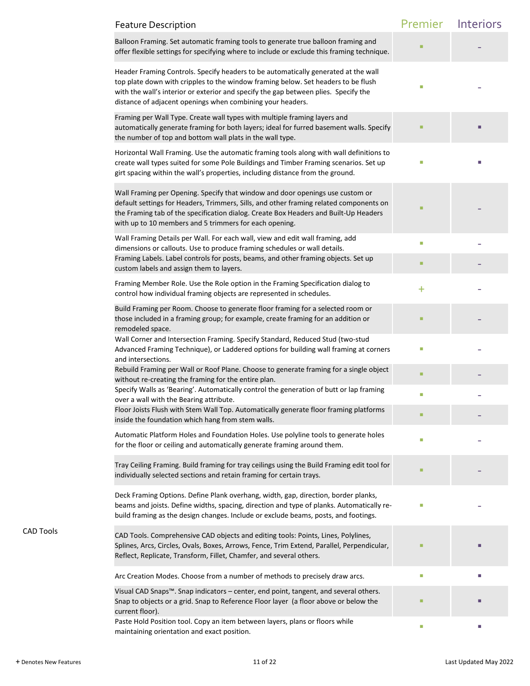|                  | <b>Feature Description</b>                                                                                                                                                                                                                                                                                                   | Premier   | <b>Interiors</b> |
|------------------|------------------------------------------------------------------------------------------------------------------------------------------------------------------------------------------------------------------------------------------------------------------------------------------------------------------------------|-----------|------------------|
|                  | Balloon Framing. Set automatic framing tools to generate true balloon framing and<br>offer flexible settings for specifying where to include or exclude this framing technique.                                                                                                                                              |           |                  |
|                  | Header Framing Controls. Specify headers to be automatically generated at the wall<br>top plate down with cripples to the window framing below. Set headers to be flush<br>with the wall's interior or exterior and specify the gap between plies. Specify the<br>distance of adjacent openings when combining your headers. |           |                  |
|                  | Framing per Wall Type. Create wall types with multiple framing layers and<br>automatically generate framing for both layers; ideal for furred basement walls. Specify<br>the number of top and bottom wall plats in the wall type.                                                                                           |           |                  |
|                  | Horizontal Wall Framing. Use the automatic framing tools along with wall definitions to<br>create wall types suited for some Pole Buildings and Timber Framing scenarios. Set up<br>girt spacing within the wall's properties, including distance from the ground.                                                           |           |                  |
|                  | Wall Framing per Opening. Specify that window and door openings use custom or<br>default settings for Headers, Trimmers, Sills, and other framing related components on<br>the Framing tab of the specification dialog. Create Box Headers and Built-Up Headers<br>with up to 10 members and 5 trimmers for each opening.    |           |                  |
|                  | Wall Framing Details per Wall. For each wall, view and edit wall framing, add<br>dimensions or callouts. Use to produce framing schedules or wall details.                                                                                                                                                                   | o.        |                  |
|                  | Framing Labels. Label controls for posts, beams, and other framing objects. Set up<br>custom labels and assign them to layers.                                                                                                                                                                                               |           |                  |
|                  | Framing Member Role. Use the Role option in the Framing Specification dialog to<br>control how individual framing objects are represented in schedules.                                                                                                                                                                      | $\ddot{}$ |                  |
|                  | Build Framing per Room. Choose to generate floor framing for a selected room or<br>those included in a framing group; for example, create framing for an addition or<br>remodeled space.                                                                                                                                     |           |                  |
|                  | Wall Corner and Intersection Framing. Specify Standard, Reduced Stud (two-stud<br>Advanced Framing Technique), or Laddered options for building wall framing at corners<br>and intersections.                                                                                                                                | п         |                  |
|                  | Rebuild Framing per Wall or Roof Plane. Choose to generate framing for a single object<br>without re-creating the framing for the entire plan.                                                                                                                                                                               |           |                  |
|                  | Specify Walls as 'Bearing'. Automatically control the generation of butt or lap framing<br>over a wall with the Bearing attribute.                                                                                                                                                                                           | П         |                  |
|                  | Floor Joists Flush with Stem Wall Top. Automatically generate floor framing platforms<br>inside the foundation which hang from stem walls.                                                                                                                                                                                   |           |                  |
|                  | Automatic Platform Holes and Foundation Holes. Use polyline tools to generate holes<br>for the floor or ceiling and automatically generate framing around them.                                                                                                                                                              |           |                  |
|                  | Tray Ceiling Framing. Build framing for tray ceilings using the Build Framing edit tool for<br>individually selected sections and retain framing for certain trays.                                                                                                                                                          |           |                  |
|                  | Deck Framing Options. Define Plank overhang, width, gap, direction, border planks,<br>beams and joists. Define widths, spacing, direction and type of planks. Automatically re-<br>build framing as the design changes. Include or exclude beams, posts, and footings.                                                       |           |                  |
| <b>CAD Tools</b> | CAD Tools. Comprehensive CAD objects and editing tools: Points, Lines, Polylines,<br>Splines, Arcs, Circles, Ovals, Boxes, Arrows, Fence, Trim Extend, Parallel, Perpendicular,<br>Reflect, Replicate, Transform, Fillet, Chamfer, and several others.                                                                       |           |                  |
|                  | Arc Creation Modes. Choose from a number of methods to precisely draw arcs.                                                                                                                                                                                                                                                  | П         |                  |
|                  | Visual CAD Snaps™. Snap indicators - center, end point, tangent, and several others.<br>Snap to objects or a grid. Snap to Reference Floor layer (a floor above or below the<br>current floor).                                                                                                                              |           |                  |
|                  | Paste Hold Position tool. Copy an item between layers, plans or floors while<br>maintaining orientation and exact position.                                                                                                                                                                                                  | П         |                  |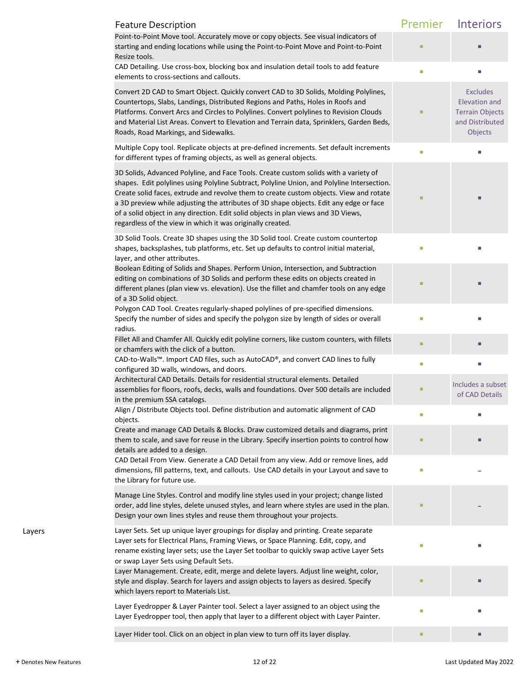|        | <b>Feature Description</b>                                                                                                                                                                                                                                                                                                                                                                                                                                                                                                 | Premier | Interiors                                                                                |
|--------|----------------------------------------------------------------------------------------------------------------------------------------------------------------------------------------------------------------------------------------------------------------------------------------------------------------------------------------------------------------------------------------------------------------------------------------------------------------------------------------------------------------------------|---------|------------------------------------------------------------------------------------------|
|        | Point-to-Point Move tool. Accurately move or copy objects. See visual indicators of<br>starting and ending locations while using the Point-to-Point Move and Point-to-Point<br>Resize tools.                                                                                                                                                                                                                                                                                                                               |         |                                                                                          |
|        | CAD Detailing. Use cross-box, blocking box and insulation detail tools to add feature<br>elements to cross-sections and callouts.                                                                                                                                                                                                                                                                                                                                                                                          | u.      | u,                                                                                       |
|        | Convert 2D CAD to Smart Object. Quickly convert CAD to 3D Solids, Molding Polylines,<br>Countertops, Slabs, Landings, Distributed Regions and Paths, Holes in Roofs and<br>Platforms. Convert Arcs and Circles to Polylines. Convert polylines to Revision Clouds<br>and Material List Areas. Convert to Elevation and Terrain data, Sprinklers, Garden Beds,<br>Roads, Road Markings, and Sidewalks.                                                                                                                      |         | <b>Excludes</b><br>Elevation and<br><b>Terrain Objects</b><br>and Distributed<br>Objects |
|        | Multiple Copy tool. Replicate objects at pre-defined increments. Set default increments<br>for different types of framing objects, as well as general objects.                                                                                                                                                                                                                                                                                                                                                             | Ī.      | ш                                                                                        |
|        | 3D Solids, Advanced Polyline, and Face Tools. Create custom solids with a variety of<br>shapes. Edit polylines using Polyline Subtract, Polyline Union, and Polyline Intersection.<br>Create solid faces, extrude and revolve them to create custom objects. View and rotate<br>a 3D preview while adjusting the attributes of 3D shape objects. Edit any edge or face<br>of a solid object in any direction. Edit solid objects in plan views and 3D Views,<br>regardless of the view in which it was originally created. | ٠       |                                                                                          |
|        | 3D Solid Tools. Create 3D shapes using the 3D Solid tool. Create custom countertop<br>shapes, backsplashes, tub platforms, etc. Set up defaults to control initial material,<br>layer, and other attributes.                                                                                                                                                                                                                                                                                                               |         |                                                                                          |
|        | Boolean Editing of Solids and Shapes. Perform Union, Intersection, and Subtraction<br>editing on combinations of 3D Solids and perform these edits on objects created in<br>different planes (plan view vs. elevation). Use the fillet and chamfer tools on any edge<br>of a 3D Solid object.                                                                                                                                                                                                                              |         |                                                                                          |
|        | Polygon CAD Tool. Creates regularly-shaped polylines of pre-specified dimensions.<br>Specify the number of sides and specify the polygon size by length of sides or overall<br>radius.                                                                                                                                                                                                                                                                                                                                     | ш       |                                                                                          |
|        | Fillet All and Chamfer All. Quickly edit polyline corners, like custom counters, with fillets<br>or chamfers with the click of a button.                                                                                                                                                                                                                                                                                                                                                                                   |         |                                                                                          |
|        | CAD-to-Walls™. Import CAD files, such as AutoCAD®, and convert CAD lines to fully<br>configured 3D walls, windows, and doors.                                                                                                                                                                                                                                                                                                                                                                                              | L.      | U.                                                                                       |
|        | Architectural CAD Details. Details for residential structural elements. Detailed<br>assemblies for floors, roofs, decks, walls and foundations. Over 500 details are included<br>in the premium SSA catalogs.                                                                                                                                                                                                                                                                                                              | п       | Includes a subset<br>of CAD Details                                                      |
|        | Align / Distribute Objects tool. Define distribution and automatic alignment of CAD<br>objects.                                                                                                                                                                                                                                                                                                                                                                                                                            |         |                                                                                          |
|        | Create and manage CAD Details & Blocks. Draw customized details and diagrams, print<br>them to scale, and save for reuse in the Library. Specify insertion points to control how<br>details are added to a design.                                                                                                                                                                                                                                                                                                         |         |                                                                                          |
|        | CAD Detail From View. Generate a CAD Detail from any view. Add or remove lines, add<br>dimensions, fill patterns, text, and callouts. Use CAD details in your Layout and save to<br>the Library for future use.                                                                                                                                                                                                                                                                                                            | П       |                                                                                          |
|        | Manage Line Styles. Control and modify line styles used in your project; change listed<br>order, add line styles, delete unused styles, and learn where styles are used in the plan.<br>Design your own lines styles and reuse them throughout your projects.                                                                                                                                                                                                                                                              |         |                                                                                          |
| Layers | Layer Sets. Set up unique layer groupings for display and printing. Create separate<br>Layer sets for Electrical Plans, Framing Views, or Space Planning. Edit, copy, and<br>rename existing layer sets; use the Layer Set toolbar to quickly swap active Layer Sets<br>or swap Layer Sets using Default Sets.                                                                                                                                                                                                             | П       |                                                                                          |
|        | Layer Management. Create, edit, merge and delete layers. Adjust line weight, color,<br>style and display. Search for layers and assign objects to layers as desired. Specify<br>which layers report to Materials List.                                                                                                                                                                                                                                                                                                     |         |                                                                                          |
|        | Layer Eyedropper & Layer Painter tool. Select a layer assigned to an object using the<br>Layer Eyedropper tool, then apply that layer to a different object with Layer Painter.                                                                                                                                                                                                                                                                                                                                            | Г       |                                                                                          |
|        | Layer Hider tool. Click on an object in plan view to turn off its layer display.                                                                                                                                                                                                                                                                                                                                                                                                                                           | ٠       | п                                                                                        |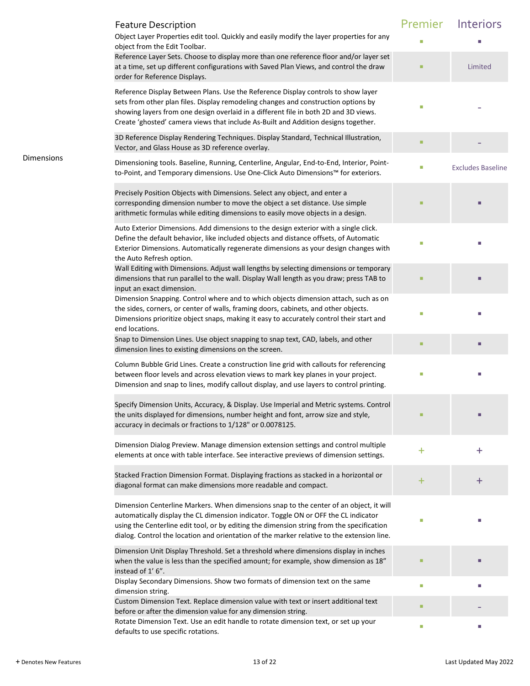|            | <b>Feature Description</b><br>Object Layer Properties edit tool. Quickly and easily modify the layer properties for any<br>object from the Edit Toolbar.                                                                                                                                                                                                                 | Premier | Interiors                |
|------------|--------------------------------------------------------------------------------------------------------------------------------------------------------------------------------------------------------------------------------------------------------------------------------------------------------------------------------------------------------------------------|---------|--------------------------|
|            | Reference Layer Sets. Choose to display more than one reference floor and/or layer set<br>at a time, set up different configurations with Saved Plan Views, and control the draw<br>order for Reference Displays.                                                                                                                                                        |         | Limited                  |
|            | Reference Display Between Plans. Use the Reference Display controls to show layer<br>sets from other plan files. Display remodeling changes and construction options by<br>showing layers from one design overlaid in a different file in both 2D and 3D views.<br>Create 'ghosted' camera views that include As-Built and Addition designs together.                    |         |                          |
|            | 3D Reference Display Rendering Techniques. Display Standard, Technical Illustration,<br>Vector, and Glass House as 3D reference overlay.                                                                                                                                                                                                                                 |         |                          |
| Dimensions | Dimensioning tools. Baseline, Running, Centerline, Angular, End-to-End, Interior, Point-<br>to-Point, and Temporary dimensions. Use One-Click Auto Dimensions™ for exteriors.                                                                                                                                                                                            | u.      | <b>Excludes Baseline</b> |
|            | Precisely Position Objects with Dimensions. Select any object, and enter a<br>corresponding dimension number to move the object a set distance. Use simple<br>arithmetic formulas while editing dimensions to easily move objects in a design.                                                                                                                           |         |                          |
|            | Auto Exterior Dimensions. Add dimensions to the design exterior with a single click.<br>Define the default behavior, like included objects and distance offsets, of Automatic<br>Exterior Dimensions. Automatically regenerate dimensions as your design changes with<br>the Auto Refresh option.                                                                        |         |                          |
|            | Wall Editing with Dimensions. Adjust wall lengths by selecting dimensions or temporary<br>dimensions that run parallel to the wall. Display Wall length as you draw; press TAB to<br>input an exact dimension.                                                                                                                                                           |         |                          |
|            | Dimension Snapping. Control where and to which objects dimension attach, such as on<br>the sides, corners, or center of walls, framing doors, cabinets, and other objects.<br>Dimensions prioritize object snaps, making it easy to accurately control their start and<br>end locations.                                                                                 |         |                          |
|            | Snap to Dimension Lines. Use object snapping to snap text, CAD, labels, and other<br>dimension lines to existing dimensions on the screen.                                                                                                                                                                                                                               |         | п                        |
|            | Column Bubble Grid Lines. Create a construction line grid with callouts for referencing<br>between floor levels and across elevation views to mark key planes in your project.<br>Dimension and snap to lines, modify callout display, and use layers to control printing.                                                                                               |         |                          |
|            | Specify Dimension Units, Accuracy, & Display. Use Imperial and Metric systems. Control<br>the units displayed for dimensions, number height and font, arrow size and style,<br>accuracy in decimals or fractions to 1/128" or 0.0078125.                                                                                                                                 |         |                          |
|            | Dimension Dialog Preview. Manage dimension extension settings and control multiple<br>elements at once with table interface. See interactive previews of dimension settings.                                                                                                                                                                                             | +       | $\mathrm{+}$             |
|            | Stacked Fraction Dimension Format. Displaying fractions as stacked in a horizontal or<br>diagonal format can make dimensions more readable and compact.                                                                                                                                                                                                                  | $\pm$   | +                        |
|            | Dimension Centerline Markers. When dimensions snap to the center of an object, it will<br>automatically display the CL dimension indicator. Toggle ON or OFF the CL indicator<br>using the Centerline edit tool, or by editing the dimension string from the specification<br>dialog. Control the location and orientation of the marker relative to the extension line. |         |                          |
|            | Dimension Unit Display Threshold. Set a threshold where dimensions display in inches<br>when the value is less than the specified amount; for example, show dimension as 18"<br>instead of 1'6".                                                                                                                                                                         |         |                          |
|            | Display Secondary Dimensions. Show two formats of dimension text on the same<br>dimension string.                                                                                                                                                                                                                                                                        | ш       |                          |
|            | Custom Dimension Text. Replace dimension value with text or insert additional text<br>before or after the dimension value for any dimension string.                                                                                                                                                                                                                      |         |                          |
|            | Rotate Dimension Text. Use an edit handle to rotate dimension text, or set up your<br>defaults to use specific rotations.                                                                                                                                                                                                                                                | П       |                          |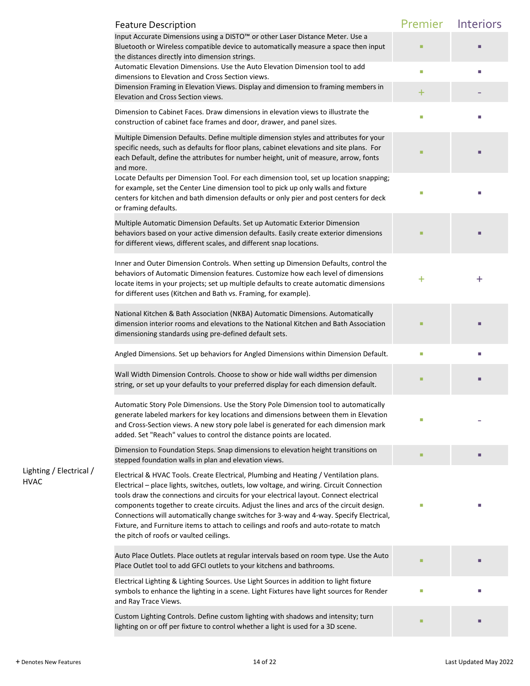|                                        | <b>Feature Description</b>                                                                                                                                                                                                                                                                                                                                                                                                                                                                                                                                                                              | Premier   | Interiors |
|----------------------------------------|---------------------------------------------------------------------------------------------------------------------------------------------------------------------------------------------------------------------------------------------------------------------------------------------------------------------------------------------------------------------------------------------------------------------------------------------------------------------------------------------------------------------------------------------------------------------------------------------------------|-----------|-----------|
|                                        | Input Accurate Dimensions using a DISTO™ or other Laser Distance Meter. Use a<br>Bluetooth or Wireless compatible device to automatically measure a space then input<br>the distances directly into dimension strings.                                                                                                                                                                                                                                                                                                                                                                                  |           |           |
|                                        | Automatic Elevation Dimensions. Use the Auto Elevation Dimension tool to add                                                                                                                                                                                                                                                                                                                                                                                                                                                                                                                            | П         |           |
|                                        | dimensions to Elevation and Cross Section views.<br>Dimension Framing in Elevation Views. Display and dimension to framing members in<br>Elevation and Cross Section views.                                                                                                                                                                                                                                                                                                                                                                                                                             | $\pm$     |           |
|                                        | Dimension to Cabinet Faces. Draw dimensions in elevation views to illustrate the<br>construction of cabinet face frames and door, drawer, and panel sizes.                                                                                                                                                                                                                                                                                                                                                                                                                                              | П         |           |
|                                        | Multiple Dimension Defaults. Define multiple dimension styles and attributes for your<br>specific needs, such as defaults for floor plans, cabinet elevations and site plans. For<br>each Default, define the attributes for number height, unit of measure, arrow, fonts<br>and more.                                                                                                                                                                                                                                                                                                                  | ш         |           |
|                                        | Locate Defaults per Dimension Tool. For each dimension tool, set up location snapping;<br>for example, set the Center Line dimension tool to pick up only walls and fixture<br>centers for kitchen and bath dimension defaults or only pier and post centers for deck<br>or framing defaults.                                                                                                                                                                                                                                                                                                           | П         |           |
|                                        | Multiple Automatic Dimension Defaults. Set up Automatic Exterior Dimension<br>behaviors based on your active dimension defaults. Easily create exterior dimensions<br>for different views, different scales, and different snap locations.                                                                                                                                                                                                                                                                                                                                                              |           |           |
|                                        | Inner and Outer Dimension Controls. When setting up Dimension Defaults, control the<br>behaviors of Automatic Dimension features. Customize how each level of dimensions<br>locate items in your projects; set up multiple defaults to create automatic dimensions<br>for different uses (Kitchen and Bath vs. Framing, for example).                                                                                                                                                                                                                                                                   | $\ddot{}$ | $\bf{+}$  |
|                                        | National Kitchen & Bath Association (NKBA) Automatic Dimensions. Automatically<br>dimension interior rooms and elevations to the National Kitchen and Bath Association<br>dimensioning standards using pre-defined default sets.                                                                                                                                                                                                                                                                                                                                                                        | ш         |           |
|                                        | Angled Dimensions. Set up behaviors for Angled Dimensions within Dimension Default.                                                                                                                                                                                                                                                                                                                                                                                                                                                                                                                     | П         | П         |
|                                        | Wall Width Dimension Controls. Choose to show or hide wall widths per dimension<br>string, or set up your defaults to your preferred display for each dimension default.                                                                                                                                                                                                                                                                                                                                                                                                                                | п         |           |
|                                        | Automatic Story Pole Dimensions. Use the Story Pole Dimension tool to automatically<br>generate labeled markers for key locations and dimensions between them in Elevation<br>and Cross-Section views. A new story pole label is generated for each dimension mark<br>added. Set "Reach" values to control the distance points are located.                                                                                                                                                                                                                                                             |           |           |
|                                        | Dimension to Foundation Steps. Snap dimensions to elevation height transitions on<br>stepped foundation walls in plan and elevation views.                                                                                                                                                                                                                                                                                                                                                                                                                                                              |           |           |
| Lighting / Electrical /<br><b>HVAC</b> | Electrical & HVAC Tools. Create Electrical, Plumbing and Heating / Ventilation plans.<br>Electrical - place lights, switches, outlets, low voltage, and wiring. Circuit Connection<br>tools draw the connections and circuits for your electrical layout. Connect electrical<br>components together to create circuits. Adjust the lines and arcs of the circuit design.<br>Connections will automatically change switches for 3-way and 4-way. Specify Electrical,<br>Fixture, and Furniture items to attach to ceilings and roofs and auto-rotate to match<br>the pitch of roofs or vaulted ceilings. |           |           |
|                                        | Auto Place Outlets. Place outlets at regular intervals based on room type. Use the Auto<br>Place Outlet tool to add GFCI outlets to your kitchens and bathrooms.                                                                                                                                                                                                                                                                                                                                                                                                                                        |           |           |
|                                        | Electrical Lighting & Lighting Sources. Use Light Sources in addition to light fixture<br>symbols to enhance the lighting in a scene. Light Fixtures have light sources for Render<br>and Ray Trace Views.                                                                                                                                                                                                                                                                                                                                                                                              | П         |           |
|                                        | Custom Lighting Controls. Define custom lighting with shadows and intensity; turn<br>lighting on or off per fixture to control whether a light is used for a 3D scene.                                                                                                                                                                                                                                                                                                                                                                                                                                  |           |           |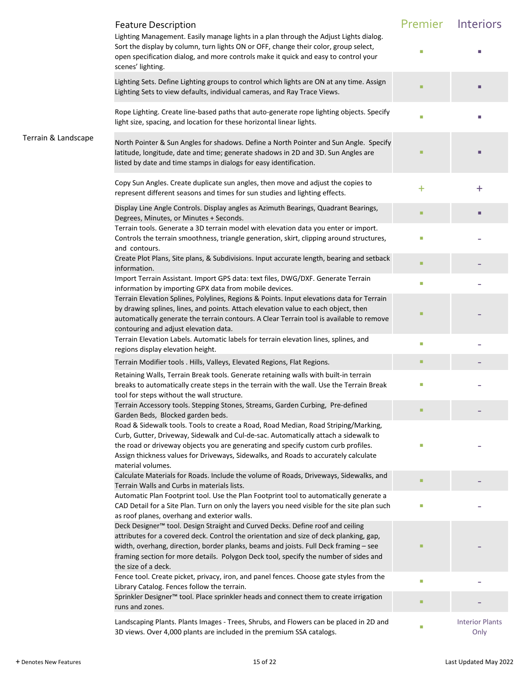|                     | <b>Feature Description</b>                                                                                                                                                                                                                                                                                                                                                      | Premier | Interiors                      |
|---------------------|---------------------------------------------------------------------------------------------------------------------------------------------------------------------------------------------------------------------------------------------------------------------------------------------------------------------------------------------------------------------------------|---------|--------------------------------|
|                     | Lighting Management. Easily manage lights in a plan through the Adjust Lights dialog.<br>Sort the display by column, turn lights ON or OFF, change their color, group select,<br>open specification dialog, and more controls make it quick and easy to control your<br>scenes' lighting.                                                                                       |         |                                |
|                     | Lighting Sets. Define Lighting groups to control which lights are ON at any time. Assign<br>Lighting Sets to view defaults, individual cameras, and Ray Trace Views.                                                                                                                                                                                                            |         |                                |
|                     | Rope Lighting. Create line-based paths that auto-generate rope lighting objects. Specify<br>light size, spacing, and location for these horizontal linear lights.                                                                                                                                                                                                               |         |                                |
| Terrain & Landscape | North Pointer & Sun Angles for shadows. Define a North Pointer and Sun Angle. Specify<br>latitude, longitude, date and time; generate shadows in 2D and 3D. Sun Angles are<br>listed by date and time stamps in dialogs for easy identification.                                                                                                                                |         |                                |
|                     | Copy Sun Angles. Create duplicate sun angles, then move and adjust the copies to<br>represent different seasons and times for sun studies and lighting effects.                                                                                                                                                                                                                 | $\pm$   | $\bf{+}$                       |
|                     | Display Line Angle Controls. Display angles as Azimuth Bearings, Quadrant Bearings,<br>Degrees, Minutes, or Minutes + Seconds.                                                                                                                                                                                                                                                  |         |                                |
|                     | Terrain tools. Generate a 3D terrain model with elevation data you enter or import.<br>Controls the terrain smoothness, triangle generation, skirt, clipping around structures,<br>and contours.                                                                                                                                                                                |         |                                |
|                     | Create Plot Plans, Site plans, & Subdivisions. Input accurate length, bearing and setback<br>information.                                                                                                                                                                                                                                                                       |         |                                |
|                     | Import Terrain Assistant. Import GPS data: text files, DWG/DXF. Generate Terrain<br>information by importing GPX data from mobile devices.                                                                                                                                                                                                                                      | ш       |                                |
|                     | Terrain Elevation Splines, Polylines, Regions & Points. Input elevations data for Terrain<br>by drawing splines, lines, and points. Attach elevation value to each object, then<br>automatically generate the terrain contours. A Clear Terrain tool is available to remove<br>contouring and adjust elevation data.                                                            |         |                                |
|                     | Terrain Elevation Labels. Automatic labels for terrain elevation lines, splines, and<br>regions display elevation height.                                                                                                                                                                                                                                                       | $\Box$  |                                |
|                     | Terrain Modifier tools . Hills, Valleys, Elevated Regions, Flat Regions.                                                                                                                                                                                                                                                                                                        | ٠       |                                |
|                     | Retaining Walls, Terrain Break tools. Generate retaining walls with built-in terrain<br>breaks to automatically create steps in the terrain with the wall. Use the Terrain Break<br>tool for steps without the wall structure.                                                                                                                                                  |         |                                |
|                     | Terrain Accessory tools. Stepping Stones, Streams, Garden Curbing, Pre-defined<br>Garden Beds, Blocked garden beds.                                                                                                                                                                                                                                                             |         |                                |
|                     | Road & Sidewalk tools. Tools to create a Road, Road Median, Road Striping/Marking,<br>Curb, Gutter, Driveway, Sidewalk and Cul-de-sac. Automatically attach a sidewalk to<br>the road or driveway objects you are generating and specify custom curb profiles.<br>Assign thickness values for Driveways, Sidewalks, and Roads to accurately calculate<br>material volumes.      |         |                                |
|                     | Calculate Materials for Roads. Include the volume of Roads, Driveways, Sidewalks, and<br>Terrain Walls and Curbs in materials lists.                                                                                                                                                                                                                                            |         |                                |
|                     | Automatic Plan Footprint tool. Use the Plan Footprint tool to automatically generate a<br>CAD Detail for a Site Plan. Turn on only the layers you need visible for the site plan such<br>as roof planes, overhang and exterior walls.                                                                                                                                           | T.      |                                |
|                     | Deck Designer™ tool. Design Straight and Curved Decks. Define roof and ceiling<br>attributes for a covered deck. Control the orientation and size of deck planking, gap,<br>width, overhang, direction, border planks, beams and joists. Full Deck framing - see<br>framing section for more details. Polygon Deck tool, specify the number of sides and<br>the size of a deck. |         |                                |
|                     | Fence tool. Create picket, privacy, iron, and panel fences. Choose gate styles from the<br>Library Catalog. Fences follow the terrain.                                                                                                                                                                                                                                          | $\Box$  |                                |
|                     | Sprinkler Designer <sup>™</sup> tool. Place sprinkler heads and connect them to create irrigation<br>runs and zones.                                                                                                                                                                                                                                                            |         |                                |
|                     | Landscaping Plants. Plants Images - Trees, Shrubs, and Flowers can be placed in 2D and<br>3D views. Over 4,000 plants are included in the premium SSA catalogs.                                                                                                                                                                                                                 | П       | <b>Interior Plants</b><br>Only |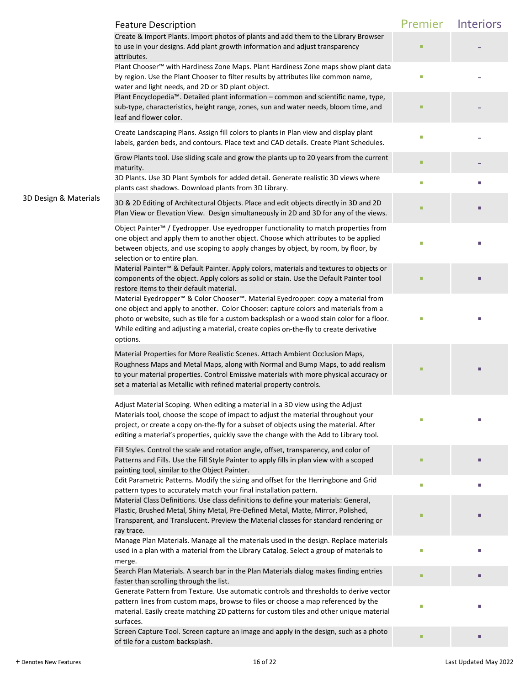|                       | <b>Feature Description</b>                                                                                                                                                                                                                                                                                                                                                            | Premier        | Interiors |
|-----------------------|---------------------------------------------------------------------------------------------------------------------------------------------------------------------------------------------------------------------------------------------------------------------------------------------------------------------------------------------------------------------------------------|----------------|-----------|
|                       | Create & Import Plants. Import photos of plants and add them to the Library Browser<br>to use in your designs. Add plant growth information and adjust transparency<br>attributes.                                                                                                                                                                                                    |                |           |
|                       | Plant Chooser™ with Hardiness Zone Maps. Plant Hardiness Zone maps show plant data<br>by region. Use the Plant Chooser to filter results by attributes like common name,<br>water and light needs, and 2D or 3D plant object.                                                                                                                                                         | I.             |           |
|                       | Plant Encyclopedia™. Detailed plant information – common and scientific name, type,<br>sub-type, characteristics, height range, zones, sun and water needs, bloom time, and<br>leaf and flower color.                                                                                                                                                                                 | ■              |           |
|                       | Create Landscaping Plans. Assign fill colors to plants in Plan view and display plant<br>labels, garden beds, and contours. Place text and CAD details. Create Plant Schedules.                                                                                                                                                                                                       | L.             |           |
|                       | Grow Plants tool. Use sliding scale and grow the plants up to 20 years from the current<br>maturity.                                                                                                                                                                                                                                                                                  | п              |           |
|                       | 3D Plants. Use 3D Plant Symbols for added detail. Generate realistic 3D views where<br>plants cast shadows. Download plants from 3D Library.                                                                                                                                                                                                                                          | $\Box$         |           |
| 3D Design & Materials | 3D & 2D Editing of Architectural Objects. Place and edit objects directly in 3D and 2D<br>Plan View or Elevation View. Design simultaneously in 2D and 3D for any of the views.                                                                                                                                                                                                       |                |           |
|                       | Object Painter™ / Eyedropper. Use eyedropper functionality to match properties from<br>one object and apply them to another object. Choose which attributes to be applied<br>between objects, and use scoping to apply changes by object, by room, by floor, by<br>selection or to entire plan.                                                                                       | П              |           |
|                       | Material Painter™ & Default Painter. Apply colors, materials and textures to objects or<br>components of the object. Apply colors as solid or stain. Use the Default Painter tool<br>restore items to their default material.                                                                                                                                                         | ■              |           |
|                       | Material Eyedropper <sup>™</sup> & Color Chooser™. Material Eyedropper: copy a material from<br>one object and apply to another. Color Chooser: capture colors and materials from a<br>photo or website, such as tile for a custom backsplash or a wood stain color for a floor.<br>While editing and adjusting a material, create copies on-the-fly to create derivative<br>options. | o.             |           |
|                       | Material Properties for More Realistic Scenes. Attach Ambient Occlusion Maps,<br>Roughness Maps and Metal Maps, along with Normal and Bump Maps, to add realism<br>to your material properties. Control Emissive materials with more physical accuracy or<br>set a material as Metallic with refined material property controls.                                                      |                |           |
|                       | Adjust Material Scoping. When editing a material in a 3D view using the Adjust<br>Materials tool, choose the scope of impact to adjust the material throughout your<br>project, or create a copy on-the-fly for a subset of objects using the material. After<br>editing a material's properties, quickly save the change with the Add to Library tool.                               |                |           |
|                       | Fill Styles. Control the scale and rotation angle, offset, transparency, and color of<br>Patterns and Fills. Use the Fill Style Painter to apply fills in plan view with a scoped<br>painting tool, similar to the Object Painter.                                                                                                                                                    |                |           |
|                       | Edit Parametric Patterns. Modify the sizing and offset for the Herringbone and Grid<br>pattern types to accurately match your final installation pattern.<br>Material Class Definitions. Use class definitions to define your materials: General,                                                                                                                                     | $\blacksquare$ | ш         |
|                       | Plastic, Brushed Metal, Shiny Metal, Pre-Defined Metal, Matte, Mirror, Polished,<br>Transparent, and Translucent. Preview the Material classes for standard rendering or<br>ray trace.                                                                                                                                                                                                | ٠              |           |
|                       | Manage Plan Materials. Manage all the materials used in the design. Replace materials<br>used in a plan with a material from the Library Catalog. Select a group of materials to<br>merge.                                                                                                                                                                                            | П              |           |
|                       | Search Plan Materials. A search bar in the Plan Materials dialog makes finding entries<br>faster than scrolling through the list.<br>Generate Pattern from Texture. Use automatic controls and thresholds to derive vector                                                                                                                                                            | ■              |           |
|                       | pattern lines from custom maps, browse to files or choose a map referenced by the<br>material. Easily create matching 2D patterns for custom tiles and other unique material<br>surfaces.                                                                                                                                                                                             | П              |           |
|                       | Screen Capture Tool. Screen capture an image and apply in the design, such as a photo<br>of tile for a custom backsplash.                                                                                                                                                                                                                                                             | п              |           |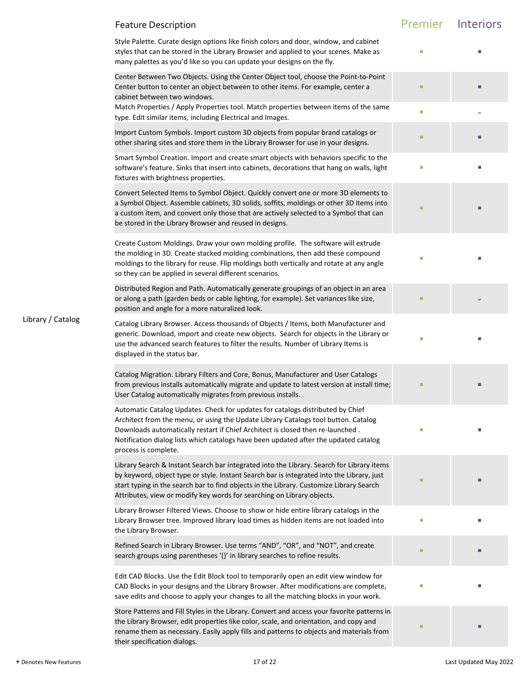|                   | <b>Feature Description</b>                                                                                                                                                                                                                                                                                                                                             | Premier | Interiors |
|-------------------|------------------------------------------------------------------------------------------------------------------------------------------------------------------------------------------------------------------------------------------------------------------------------------------------------------------------------------------------------------------------|---------|-----------|
|                   | Style Palette. Curate design options like finish colors and door, window, and cabinet<br>styles that can be stored in the Library Browser and applied to your scenes. Make as<br>many palettes as you'd like so you can update your designs on the fly.                                                                                                                |         |           |
|                   | Center Between Two Objects. Using the Center Object tool, choose the Point-to-Point<br>Center button to center an object between to other items. For example, center a<br>cabinet between two windows.                                                                                                                                                                 | ш       |           |
|                   | Match Properties / Apply Properties tool. Match properties between items of the same<br>type. Edit similar items, including Electrical and Images.                                                                                                                                                                                                                     | L.      |           |
|                   | Import Custom Symbols. Import custom 3D objects from popular brand catalogs or<br>other sharing sites and store them in the Library Browser for use in your designs.                                                                                                                                                                                                   | ٠       |           |
|                   | Smart Symbol Creation. Import and create smart objects with behaviors specific to the<br>software's feature. Sinks that insert into cabinets, decorations that hang on walls, light<br>fixtures with brightness properties.                                                                                                                                            | o.      |           |
|                   | Convert Selected Items to Symbol Object. Quickly convert one or more 3D elements to<br>a Symbol Object. Assemble cabinets, 3D solids, soffits, moldings or other 3D items into<br>a custom item, and convert only those that are actively selected to a Symbol that can<br>be stored in the Library Browser and reused in designs.                                     |         |           |
|                   | Create Custom Moldings. Draw your own molding profile. The software will extrude<br>the molding in 3D. Create stacked molding combinations, then add these compound<br>moldings to the library for reuse. Flip moldings both vertically and rotate at any angle<br>so they can be applied in several different scenarios.                                              |         |           |
|                   | Distributed Region and Path. Automatically generate groupings of an object in an area<br>or along a path (garden beds or cable lighting, for example). Set variances like size,<br>position and angle for a more naturalized look.                                                                                                                                     |         |           |
| Library / Catalog | Catalog Library Browser. Access thousands of Objects / Items, both Manufacturer and<br>generic. Download, import and create new objects. Search for objects in the Library or<br>use the advanced search features to filter the results. Number of Library Items is<br>displayed in the status bar.                                                                    | L.      |           |
|                   | Catalog Migration. Library Filters and Core, Bonus, Manufacturer and User Catalogs<br>from previous installs automatically migrate and update to latest version at install time;<br>User Catalog automatically migrates from previous installs.                                                                                                                        |         |           |
|                   | Automatic Catalog Updates. Check for updates for catalogs distributed by Chief<br>Architect from the menu, or using the Update Library Catalogs tool button. Catalog<br>Downloads automatically restart if Chief Architect is closed then re-launched.<br>Notification dialog lists which catalogs have been updated after the updated catalog<br>process is complete. | П       |           |
|                   | Library Search & Instant Search bar integrated into the Library. Search for Library items<br>by keyword, object type or style. Instant Search bar is integrated into the Library, just<br>start typing in the search bar to find objects in the Library. Customize Library Search<br>Attributes, view or modify key words for searching on Library objects.            |         |           |
|                   | Library Browser Filtered Views. Choose to show or hide entire library catalogs in the<br>Library Browser tree. Improved library load times as hidden items are not loaded into<br>the Library Browser.                                                                                                                                                                 | I.      |           |
|                   | Refined Search in Library Browser. Use terms "AND", "OR", and "NOT", and create<br>search groups using parentheses '()' in library searches to refine results.                                                                                                                                                                                                         |         |           |
|                   | Edit CAD Blocks. Use the Edit Block tool to temporarily open an edit view window for<br>CAD Blocks in your designs and the Library Browser. After modifications are complete,<br>save edits and choose to apply your changes to all the matching blocks in your work.                                                                                                  | П       |           |
|                   | Store Patterns and Fill Styles in the Library. Convert and access your favorite patterns in<br>the Library Browser, edit properties like color, scale, and orientation, and copy and<br>rename them as necessary. Easily apply fills and patterns to objects and materials from<br>their specification dialogs.                                                        |         |           |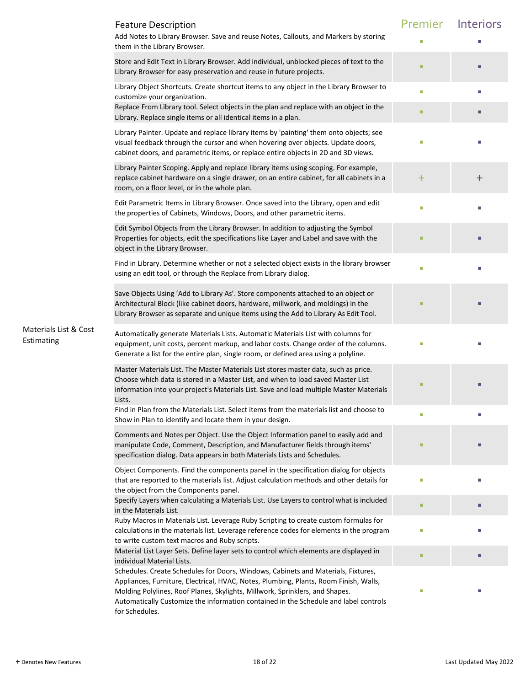|                                     | <b>Feature Description</b>                                                                                                                                                                                                                                                                                                                                           | Premier | <b>Interiors</b> |
|-------------------------------------|----------------------------------------------------------------------------------------------------------------------------------------------------------------------------------------------------------------------------------------------------------------------------------------------------------------------------------------------------------------------|---------|------------------|
|                                     | Add Notes to Library Browser. Save and reuse Notes, Callouts, and Markers by storing<br>them in the Library Browser.                                                                                                                                                                                                                                                 |         |                  |
|                                     | Store and Edit Text in Library Browser. Add individual, unblocked pieces of text to the<br>Library Browser for easy preservation and reuse in future projects.                                                                                                                                                                                                       |         |                  |
|                                     | Library Object Shortcuts. Create shortcut items to any object in the Library Browser to<br>customize your organization.                                                                                                                                                                                                                                              | $\Box$  |                  |
|                                     | Replace From Library tool. Select objects in the plan and replace with an object in the<br>Library. Replace single items or all identical items in a plan.                                                                                                                                                                                                           | п       |                  |
|                                     | Library Painter. Update and replace library items by 'painting' them onto objects; see<br>visual feedback through the cursor and when hovering over objects. Update doors,<br>cabinet doors, and parametric items, or replace entire objects in 2D and 3D views.                                                                                                     | $\Box$  |                  |
|                                     | Library Painter Scoping. Apply and replace library items using scoping. For example,<br>replace cabinet hardware on a single drawer, on an entire cabinet, for all cabinets in a<br>room, on a floor level, or in the whole plan.                                                                                                                                    | $\pm$   | $\bf{+}$         |
|                                     | Edit Parametric Items in Library Browser. Once saved into the Library, open and edit<br>the properties of Cabinets, Windows, Doors, and other parametric items.                                                                                                                                                                                                      | П       |                  |
|                                     | Edit Symbol Objects from the Library Browser. In addition to adjusting the Symbol<br>Properties for objects, edit the specifications like Layer and Label and save with the<br>object in the Library Browser.                                                                                                                                                        | п       |                  |
|                                     | Find in Library. Determine whether or not a selected object exists in the library browser<br>using an edit tool, or through the Replace from Library dialog.                                                                                                                                                                                                         | П       |                  |
|                                     | Save Objects Using 'Add to Library As'. Store components attached to an object or<br>Architectural Block (like cabinet doors, hardware, millwork, and moldings) in the<br>Library Browser as separate and unique items using the Add to Library As Edit Tool.                                                                                                        | ш       |                  |
| Materials List & Cost<br>Estimating | Automatically generate Materials Lists. Automatic Materials List with columns for<br>equipment, unit costs, percent markup, and labor costs. Change order of the columns.<br>Generate a list for the entire plan, single room, or defined area using a polyline.                                                                                                     | П       |                  |
|                                     | Master Materials List. The Master Materials List stores master data, such as price.<br>Choose which data is stored in a Master List, and when to load saved Master List<br>information into your project's Materials List. Save and load multiple Master Materials<br>Lists.                                                                                         |         |                  |
|                                     | Find in Plan from the Materials List. Select items from the materials list and choose to<br>Show in Plan to identify and locate them in your design.                                                                                                                                                                                                                 | ш       |                  |
|                                     | Comments and Notes per Object. Use the Object Information panel to easily add and<br>manipulate Code, Comment, Description, and Manufacturer fields through items'<br>specification dialog. Data appears in both Materials Lists and Schedules.                                                                                                                      | п       |                  |
|                                     | Object Components. Find the components panel in the specification dialog for objects<br>that are reported to the materials list. Adjust calculation methods and other details for<br>the object from the Components panel.                                                                                                                                           | I.      |                  |
|                                     | Specify Layers when calculating a Materials List. Use Layers to control what is included<br>in the Materials List.                                                                                                                                                                                                                                                   | ٠       |                  |
|                                     | Ruby Macros in Materials List. Leverage Ruby Scripting to create custom formulas for<br>calculations in the materials list. Leverage reference codes for elements in the program<br>to write custom text macros and Ruby scripts.                                                                                                                                    | I.      |                  |
|                                     | Material List Layer Sets. Define layer sets to control which elements are displayed in<br>individual Material Lists.                                                                                                                                                                                                                                                 | ■       |                  |
|                                     | Schedules. Create Schedules for Doors, Windows, Cabinets and Materials, Fixtures,<br>Appliances, Furniture, Electrical, HVAC, Notes, Plumbing, Plants, Room Finish, Walls,<br>Molding Polylines, Roof Planes, Skylights, Millwork, Sprinklers, and Shapes.<br>Automatically Customize the information contained in the Schedule and label controls<br>for Schedules. |         |                  |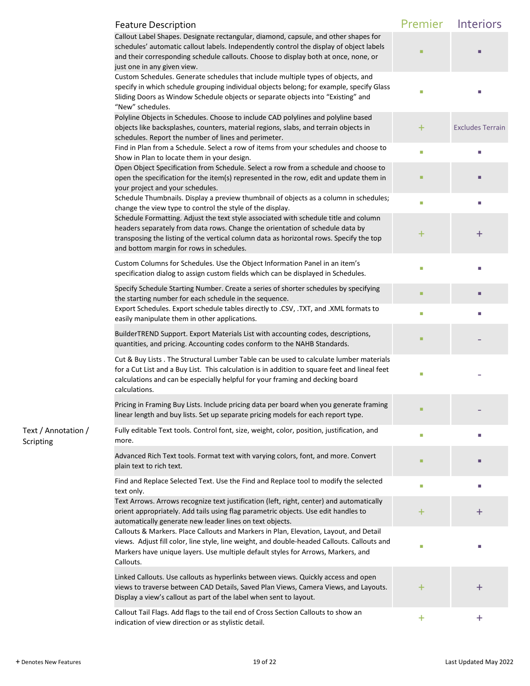|                                  | <b>Feature Description</b>                                                                                                                                                                                                                                                                           | Premier   | Interiors               |
|----------------------------------|------------------------------------------------------------------------------------------------------------------------------------------------------------------------------------------------------------------------------------------------------------------------------------------------------|-----------|-------------------------|
|                                  | Callout Label Shapes. Designate rectangular, diamond, capsule, and other shapes for<br>schedules' automatic callout labels. Independently control the display of object labels<br>and their corresponding schedule callouts. Choose to display both at once, none, or<br>just one in any given view. |           |                         |
|                                  | Custom Schedules. Generate schedules that include multiple types of objects, and<br>specify in which schedule grouping individual objects belong; for example, specify Glass<br>Sliding Doors as Window Schedule objects or separate objects into "Existing" and<br>"New" schedules.                 | П         |                         |
|                                  | Polyline Objects in Schedules. Choose to include CAD polylines and polyline based<br>objects like backsplashes, counters, material regions, slabs, and terrain objects in<br>schedules. Report the number of lines and perimeter.                                                                    | $\pm$     | <b>Excludes Terrain</b> |
|                                  | Find in Plan from a Schedule. Select a row of items from your schedules and choose to<br>Show in Plan to locate them in your design.<br>Open Object Specification from Schedule. Select a row from a schedule and choose to                                                                          | I.        |                         |
|                                  | open the specification for the item(s) represented in the row, edit and update them in<br>your project and your schedules.<br>Schedule Thumbnails. Display a preview thumbnail of objects as a column in schedules;                                                                                  |           |                         |
|                                  | change the view type to control the style of the display.<br>Schedule Formatting. Adjust the text style associated with schedule title and column                                                                                                                                                    | I.        |                         |
|                                  | headers separately from data rows. Change the orientation of schedule data by<br>transposing the listing of the vertical column data as horizontal rows. Specify the top<br>and bottom margin for rows in schedules.                                                                                 | $\pm$     | $\pm$                   |
|                                  | Custom Columns for Schedules. Use the Object Information Panel in an item's<br>specification dialog to assign custom fields which can be displayed in Schedules.                                                                                                                                     | П         |                         |
|                                  | Specify Schedule Starting Number. Create a series of shorter schedules by specifying<br>the starting number for each schedule in the sequence.<br>Export Schedules. Export schedule tables directly to .CSV, .TXT, and .XML formats to                                                               |           |                         |
|                                  | easily manipulate them in other applications.                                                                                                                                                                                                                                                        | п         | п                       |
|                                  | BuilderTREND Support. Export Materials List with accounting codes, descriptions,<br>quantities, and pricing. Accounting codes conform to the NAHB Standards.                                                                                                                                         | ٠         |                         |
|                                  | Cut & Buy Lists . The Structural Lumber Table can be used to calculate lumber materials<br>for a Cut List and a Buy List. This calculation is in addition to square feet and lineal feet<br>calculations and can be especially helpful for your framing and decking board<br>calculations.           | г         |                         |
|                                  | Pricing in Framing Buy Lists. Include pricing data per board when you generate framing<br>linear length and buy lists. Set up separate pricing models for each report type.                                                                                                                          |           |                         |
| Text / Annotation /<br>Scripting | Fully editable Text tools. Control font, size, weight, color, position, justification, and<br>more.                                                                                                                                                                                                  | $\Box$    | п                       |
|                                  | Advanced Rich Text tools. Format text with varying colors, font, and more. Convert<br>plain text to rich text.                                                                                                                                                                                       | ٠         |                         |
|                                  | Find and Replace Selected Text. Use the Find and Replace tool to modify the selected<br>text only.<br>Text Arrows. Arrows recognize text justification (left, right, center) and automatically                                                                                                       | П         | п                       |
|                                  | orient appropriately. Add tails using flag parametric objects. Use edit handles to<br>automatically generate new leader lines on text objects.                                                                                                                                                       | $\pm$     | $\pm$                   |
|                                  | Callouts & Markers. Place Callouts and Markers in Plan, Elevation, Layout, and Detail<br>views. Adjust fill color, line style, line weight, and double-headed Callouts. Callouts and<br>Markers have unique layers. Use multiple default styles for Arrows, Markers, and<br>Callouts.                | П         |                         |
|                                  | Linked Callouts. Use callouts as hyperlinks between views. Quickly access and open<br>views to traverse between CAD Details, Saved Plan Views, Camera Views, and Layouts.<br>Display a view's callout as part of the label when sent to layout.                                                      | $\ddot{}$ | $\pm$                   |
|                                  | Callout Tail Flags. Add flags to the tail end of Cross Section Callouts to show an<br>indication of view direction or as stylistic detail.                                                                                                                                                           | $\pm$     | $\pmb{+}$               |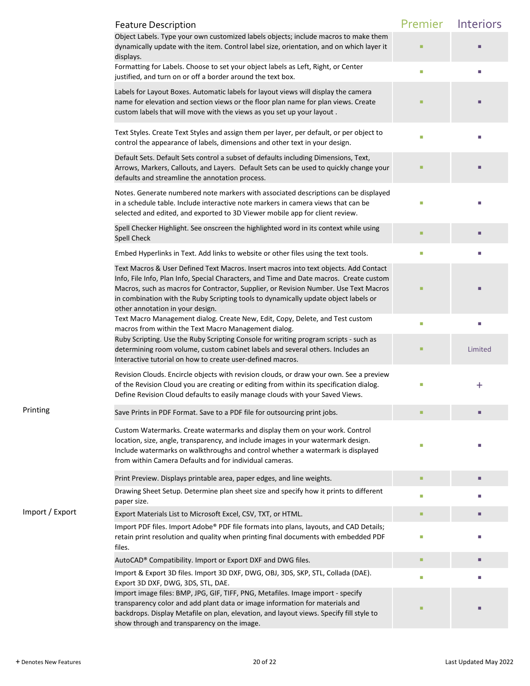|                 | <b>Feature Description</b>                                                                                                                                                                                                                                                                                                                                                                         | Premier | Interiors |
|-----------------|----------------------------------------------------------------------------------------------------------------------------------------------------------------------------------------------------------------------------------------------------------------------------------------------------------------------------------------------------------------------------------------------------|---------|-----------|
|                 | Object Labels. Type your own customized labels objects; include macros to make them<br>dynamically update with the item. Control label size, orientation, and on which layer it<br>displays.                                                                                                                                                                                                       |         |           |
|                 | Formatting for Labels. Choose to set your object labels as Left, Right, or Center<br>justified, and turn on or off a border around the text box.                                                                                                                                                                                                                                                   |         |           |
|                 | Labels for Layout Boxes. Automatic labels for layout views will display the camera<br>name for elevation and section views or the floor plan name for plan views. Create<br>custom labels that will move with the views as you set up your layout.                                                                                                                                                 |         |           |
|                 | Text Styles. Create Text Styles and assign them per layer, per default, or per object to<br>control the appearance of labels, dimensions and other text in your design.                                                                                                                                                                                                                            |         |           |
|                 | Default Sets. Default Sets control a subset of defaults including Dimensions, Text,<br>Arrows, Markers, Callouts, and Layers. Default Sets can be used to quickly change your<br>defaults and streamline the annotation process.                                                                                                                                                                   |         |           |
|                 | Notes. Generate numbered note markers with associated descriptions can be displayed<br>in a schedule table. Include interactive note markers in camera views that can be<br>selected and edited, and exported to 3D Viewer mobile app for client review.                                                                                                                                           |         |           |
|                 | Spell Checker Highlight. See onscreen the highlighted word in its context while using<br><b>Spell Check</b>                                                                                                                                                                                                                                                                                        |         |           |
|                 | Embed Hyperlinks in Text. Add links to website or other files using the text tools.                                                                                                                                                                                                                                                                                                                |         |           |
|                 | Text Macros & User Defined Text Macros. Insert macros into text objects. Add Contact<br>Info, File Info, Plan Info, Special Characters, and Time and Date macros. Create custom<br>Macros, such as macros for Contractor, Supplier, or Revision Number. Use Text Macros<br>in combination with the Ruby Scripting tools to dynamically update object labels or<br>other annotation in your design. |         |           |
|                 | Text Macro Management dialog. Create New, Edit, Copy, Delete, and Test custom<br>macros from within the Text Macro Management dialog.                                                                                                                                                                                                                                                              |         |           |
|                 | Ruby Scripting. Use the Ruby Scripting Console for writing program scripts - such as<br>determining room volume, custom cabinet labels and several others. Includes an<br>Interactive tutorial on how to create user-defined macros.                                                                                                                                                               |         | Limited   |
|                 | Revision Clouds. Encircle objects with revision clouds, or draw your own. See a preview<br>of the Revision Cloud you are creating or editing from within its specification dialog.<br>Define Revision Cloud defaults to easily manage clouds with your Saved Views.                                                                                                                                |         | $\pm$     |
| Printing        | Save Prints in PDF Format. Save to a PDF file for outsourcing print jobs.                                                                                                                                                                                                                                                                                                                          |         |           |
|                 | Custom Watermarks. Create watermarks and display them on your work. Control<br>location, size, angle, transparency, and include images in your watermark design.<br>Include watermarks on walkthroughs and control whether a watermark is displayed<br>from within Camera Defaults and for individual cameras.                                                                                     |         |           |
|                 | Print Preview. Displays printable area, paper edges, and line weights.                                                                                                                                                                                                                                                                                                                             |         |           |
|                 | Drawing Sheet Setup. Determine plan sheet size and specify how it prints to different<br>paper size.                                                                                                                                                                                                                                                                                               |         |           |
| Import / Export | Export Materials List to Microsoft Excel, CSV, TXT, or HTML.                                                                                                                                                                                                                                                                                                                                       |         |           |
|                 | Import PDF files. Import Adobe® PDF file formats into plans, layouts, and CAD Details;<br>retain print resolution and quality when printing final documents with embedded PDF<br>files.                                                                                                                                                                                                            |         |           |
|                 | AutoCAD® Compatibility. Import or Export DXF and DWG files.                                                                                                                                                                                                                                                                                                                                        |         |           |
|                 | Import & Export 3D files. Import 3D DXF, DWG, OBJ, 3DS, SKP, STL, Collada (DAE).                                                                                                                                                                                                                                                                                                                   | П       |           |
|                 | Export 3D DXF, DWG, 3DS, STL, DAE.<br>Import image files: BMP, JPG, GIF, TIFF, PNG, Metafiles. Image import - specify<br>transparency color and add plant data or image information for materials and<br>backdrops. Display Metafile on plan, elevation, and layout views. Specify fill style to<br>show through and transparency on the image.                                                    |         |           |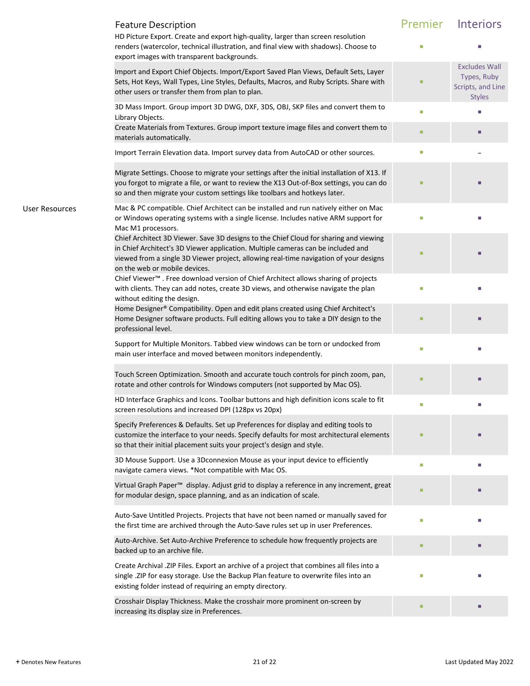|                       | <b>Feature Description</b><br>HD Picture Export. Create and export high-quality, larger than screen resolution                                                                                                                                                                                      | Premier | <b>Interiors</b>                                                          |
|-----------------------|-----------------------------------------------------------------------------------------------------------------------------------------------------------------------------------------------------------------------------------------------------------------------------------------------------|---------|---------------------------------------------------------------------------|
|                       | renders (watercolor, technical illustration, and final view with shadows). Choose to<br>export images with transparent backgrounds.                                                                                                                                                                 |         |                                                                           |
|                       | Import and Export Chief Objects. Import/Export Saved Plan Views, Default Sets, Layer<br>Sets, Hot Keys, Wall Types, Line Styles, Defaults, Macros, and Ruby Scripts. Share with<br>other users or transfer them from plan to plan.                                                                  |         | <b>Excludes Wall</b><br>Types, Ruby<br>Scripts, and Line<br><b>Styles</b> |
|                       | 3D Mass Import. Group import 3D DWG, DXF, 3DS, OBJ, SKP files and convert them to<br>Library Objects.                                                                                                                                                                                               |         |                                                                           |
|                       | Create Materials from Textures. Group import texture image files and convert them to<br>materials automatically.                                                                                                                                                                                    |         | п                                                                         |
|                       | Import Terrain Elevation data. Import survey data from AutoCAD or other sources.                                                                                                                                                                                                                    | ш       |                                                                           |
|                       | Migrate Settings. Choose to migrate your settings after the initial installation of X13. If<br>you forgot to migrate a file, or want to review the X13 Out-of-Box settings, you can do<br>so and then migrate your custom settings like toolbars and hotkeys later.                                 |         |                                                                           |
| <b>User Resources</b> | Mac & PC compatible. Chief Architect can be installed and run natively either on Mac<br>or Windows operating systems with a single license. Includes native ARM support for<br>Mac M1 processors.                                                                                                   |         |                                                                           |
|                       | Chief Architect 3D Viewer. Save 3D designs to the Chief Cloud for sharing and viewing<br>in Chief Architect's 3D Viewer application. Multiple cameras can be included and<br>viewed from a single 3D Viewer project, allowing real-time navigation of your designs<br>on the web or mobile devices. |         |                                                                           |
|                       | Chief Viewer™ . Free download version of Chief Architect allows sharing of projects<br>with clients. They can add notes, create 3D views, and otherwise navigate the plan<br>without editing the design.                                                                                            |         |                                                                           |
|                       | Home Designer® Compatibility. Open and edit plans created using Chief Architect's<br>Home Designer software products. Full editing allows you to take a DIY design to the<br>professional level.                                                                                                    |         |                                                                           |
|                       | Support for Multiple Monitors. Tabbed view windows can be torn or undocked from<br>main user interface and moved between monitors independently.                                                                                                                                                    | $\Box$  |                                                                           |
|                       | Touch Screen Optimization. Smooth and accurate touch controls for pinch zoom, pan,<br>rotate and other controls for Windows computers (not supported by Mac OS).                                                                                                                                    |         |                                                                           |
|                       | HD Interface Graphics and Icons. Toolbar buttons and high definition icons scale to fit<br>screen resolutions and increased DPI (128px vs 20px)                                                                                                                                                     |         |                                                                           |
|                       | Specify Preferences & Defaults. Set up Preferences for display and editing tools to<br>customize the interface to your needs. Specify defaults for most architectural elements<br>so that their initial placement suits your project's design and style.                                            |         |                                                                           |
|                       | 3D Mouse Support. Use a 3Dconnexion Mouse as your input device to efficiently<br>navigate camera views. *Not compatible with Mac OS.                                                                                                                                                                | ш       | ш                                                                         |
|                       | Virtual Graph Paper <sup>™</sup> display. Adjust grid to display a reference in any increment, great<br>for modular design, space planning, and as an indication of scale.                                                                                                                          |         |                                                                           |
|                       | Auto-Save Untitled Projects. Projects that have not been named or manually saved for<br>the first time are archived through the Auto-Save rules set up in user Preferences.                                                                                                                         | П       |                                                                           |
|                       | Auto-Archive. Set Auto-Archive Preference to schedule how frequently projects are<br>backed up to an archive file.                                                                                                                                                                                  |         |                                                                           |
|                       | Create Archival .ZIP Files. Export an archive of a project that combines all files into a<br>single .ZIP for easy storage. Use the Backup Plan feature to overwrite files into an<br>existing folder instead of requiring an empty directory.                                                       |         |                                                                           |
|                       | Crosshair Display Thickness. Make the crosshair more prominent on-screen by<br>increasing its display size in Preferences.                                                                                                                                                                          | п       |                                                                           |